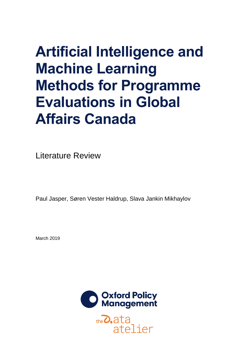# **Artificial Intelligence and Machine Learning Methods for Programme Evaluations in Global Affairs Canada**

Literature Review

Paul Jasper, Søren Vester Haldrup, Slava Jankin Mikhaylov

March 2019



 $the$  $O$ , ata atelier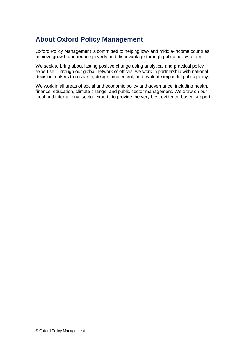### **About Oxford Policy Management**

Oxford Policy Management is committed to helping low- and middle-income countries achieve growth and reduce poverty and disadvantage through public policy reform.

We seek to bring about lasting positive change using analytical and practical policy expertise. Through our global network of offices, we work in partnership with national decision makers to research, design, implement, and evaluate impactful public policy.

We work in all areas of social and economic policy and governance, including health, finance, education, climate change, and public sector management. We draw on our local and international sector experts to provide the very best evidence-based support.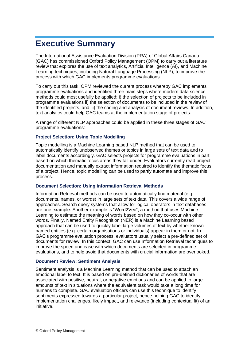## <span id="page-2-0"></span>**Executive Summary**

The International Assistance Evaluation Division (PRA) of Global Affairs Canada (GAC) has commissioned Oxford Policy Management (OPM) to carry out a literature review that explores the use of text analytics, Artificial Intelligence (AI), and Machine Learning techniques, including Natural Language Processing (NLP), to improve the process with which GAC implements programme evaluations.

To carry out this task, OPM reviewed the current process whereby GAC implements programme evaluations and identified three main steps where modern data science methods could most usefully be applied: i) the selection of projects to be included in programme evaluations ii) the selection of documents to be included in the review of the identified projects, and iii) the coding and analysis of document reviews. In addition, text analytics could help GAC teams at the implementation stage of projects.

A range of different NLP approaches could be applied in these three stages of GAC programme evaluations:

#### **Project Selection: Using Topic Modelling**

Topic modelling is a Machine Learning based NLP method that can be used to automatically identify unobserved themes or topics in large sets of text data and to label documents accordingly. GAC selects projects for programme evaluations in part based on which thematic focus areas they fall under. Evaluators currently read project documentation and manually extract information required to identify the thematic focus of a project. Hence, topic modelling can be used to partly automate and improve this process.

#### **Document Selection: Using Information Retrieval Methods**

Information Retrieval methods can be used to automatically find material (e.g. documents, names, or words) in large sets of text data. This covers a wide range of approaches. Search query systems that allow for logical operators in text databases are one example. Another example is "Word2Vec", a method that uses Machine Learning to estimate the meaning of words based on how they co-occur with other words. Finally, Named Entity Recognition (NER) is a Machine Learning based approach that can be used to quickly label large volumes of text by whether known named entities (e.g. certain organisations or individuals) appear in them or not. In GAC's programme evaluation process, evaluators usually select a pre-defined set of documents for review. In this context, GAC can use Information Retrieval techniques to improve the speed and ease with which documents are selected in programme evaluations, and to help avoid that documents with crucial information are overlooked.

#### **Document Review: Sentiment Analysis**

Sentiment analysis is a Machine Learning method that can be used to attach an emotional label to text. It is based on pre-defined dictionaries of words that are associated with positive, neutral, or negative emotions and can be applied to large amounts of text in situations where the equivalent task would take a long time for humans to complete. GAC evaluation officers can use this technique to identify sentiments expressed towards a particular project, hence helping GAC to identify implementation challenges, likely impact, and relevance (including contextual fit) of an initiative.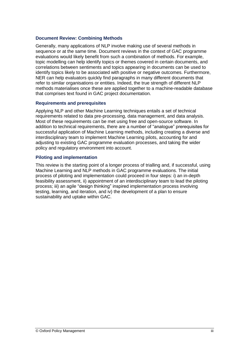#### **Document Review: Combining Methods**

Generally, many applications of NLP involve making use of several methods in sequence or at the same time. Document reviews in the context of GAC programme evaluations would likely benefit from such a combination of methods. For example, topic modelling can help identify topics or themes covered in certain documents, and correlations between sentiments and topics appearing in documents can be used to identify topics likely to be associated with positive or negative outcomes. Furthermore, NER can help evaluators quickly find paragraphs in many different documents that refer to similar organisations or entities. Indeed, the true strength of different NLP methods materialises once these are applied together to a machine-readable database that comprises text found in GAC project documentation.

#### **Requirements and prerequisites**

Applying NLP and other Machine Learning techniques entails a set of technical requirements related to data pre-processing, data management, and data analysis. Most of these requirements can be met using free and open-source software. In addition to technical requirements, there are a number of "analogue" prerequisites for successful application of Machine Learning methods, including creating a diverse and interdisciplinary team to implement Machine Learning pilots, accounting for and adjusting to existing GAC programme evaluation processes, and taking the wider policy and regulatory environment into account.

#### **Piloting and implementation**

This review is the starting point of a longer process of trialling and, if successful, using Machine Learning and NLP methods in GAC programme evaluations. The initial process of piloting and implementation could proceed in four steps: i) an in-depth feasibility assessment, ii) appointment of an interdisciplinary team to lead the piloting process; iii) an agile "design thinking" inspired implementation process involving testing, learning, and iteration, and iv) the development of a plan to ensure sustainability and uptake within GAC.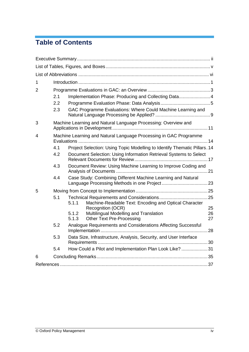## **Table of Contents**

| $\mathbf 1$ |     |                                                                                              |          |  |  |
|-------------|-----|----------------------------------------------------------------------------------------------|----------|--|--|
| 2           |     |                                                                                              |          |  |  |
|             | 2.1 | Implementation Phase: Producing and Collecting Data4                                         |          |  |  |
|             | 2.2 |                                                                                              |          |  |  |
|             | 2.3 | GAC Programme Evaluations: Where Could Machine Learning and                                  |          |  |  |
| 3           |     | Machine Learning and Natural Language Processing: Overview and                               |          |  |  |
| 4           |     | Machine Learning and Natural Language Processing in GAC Programme                            |          |  |  |
|             | 4.1 | Project Selection: Using Topic Modelling to Identify Thematic Pillars. 14                    |          |  |  |
|             | 4.2 | Document Selection: Using Information Retrieval Systems to Select                            |          |  |  |
|             | 4.3 | Document Review: Using Machine Learning to Improve Coding and                                |          |  |  |
|             | 4.4 | Case Study: Combining Different Machine Learning and Natural                                 |          |  |  |
| 5           |     |                                                                                              |          |  |  |
|             | 5.1 | 5.1.1<br>Machine-Readable Text: Encoding and Optical Character<br>Recognition (OCR)          | 25       |  |  |
|             |     | Multilingual Modelling and Translation<br>5.1.2<br><b>Other Text Pre-Processing</b><br>5.1.3 | 26<br>27 |  |  |
|             | 5.2 | Analogue Requirements and Considerations Affecting Successful                                |          |  |  |
|             | 5.3 | Data Size, Infrastructure, Analysis, Security, and User Interface                            |          |  |  |
|             | 5.4 | How Could a Pilot and Implementation Plan Look Like? 31                                      |          |  |  |
| 6           |     |                                                                                              |          |  |  |
|             |     |                                                                                              |          |  |  |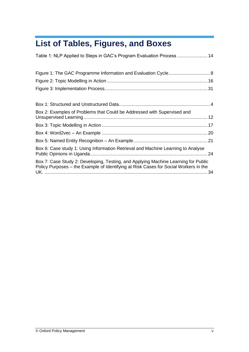## <span id="page-5-0"></span>**List of Tables, Figures, and Boxes**

| Table 1: NLP Applied to Steps in GAC's Program Evaluation Process  14                                                                                                      |
|----------------------------------------------------------------------------------------------------------------------------------------------------------------------------|
|                                                                                                                                                                            |
|                                                                                                                                                                            |
|                                                                                                                                                                            |
|                                                                                                                                                                            |
|                                                                                                                                                                            |
| Box 2: Examples of Problems that Could be Addressed with Supervised and                                                                                                    |
|                                                                                                                                                                            |
|                                                                                                                                                                            |
|                                                                                                                                                                            |
| Box 6: Case study 1: Using Information Retrieval and Machine Learning to Analyse                                                                                           |
| Box 7: Case Study 2: Developing, Testing, and Applying Machine Learning for Public<br>Policy Purposes - the Example of Identifying at Risk Cases for Social Workers in the |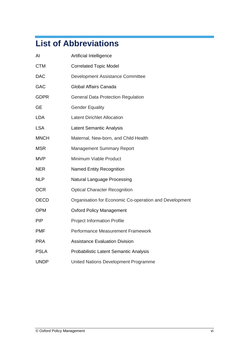## <span id="page-6-0"></span>**List of Abbreviations**

| Al          | Artificial Intelligence                                |
|-------------|--------------------------------------------------------|
| <b>CTM</b>  | <b>Correlated Topic Model</b>                          |
| <b>DAC</b>  | Development Assistance Committee                       |
| <b>GAC</b>  | Global Affairs Canada                                  |
| <b>GDPR</b> | <b>General Data Protection Regulation</b>              |
| <b>GE</b>   | <b>Gender Equality</b>                                 |
| <b>LDA</b>  | <b>Latent Dirichlet Allocation</b>                     |
| <b>LSA</b>  | <b>Latent Semantic Analysis</b>                        |
| <b>MNCH</b> | Maternal, New-born, and Child Health                   |
| <b>MSR</b>  | <b>Management Summary Report</b>                       |
| <b>MVP</b>  | Minimum Viable Product                                 |
| <b>NER</b>  | <b>Named Entity Recognition</b>                        |
| <b>NLP</b>  | <b>Natural Language Processing</b>                     |
| <b>OCR</b>  | <b>Optical Character Recognition</b>                   |
| <b>OECD</b> | Organisation for Economic Co-operation and Development |
| <b>OPM</b>  | <b>Oxford Policy Management</b>                        |
| <b>PIP</b>  | <b>Project Information Profile</b>                     |
| <b>PMF</b>  | Performance Measurement Framework                      |
| <b>PRA</b>  | <b>Assistance Evaluation Division</b>                  |
| <b>PSLA</b> | Probabilistic Latent Semantic Analysis                 |
| <b>UNDP</b> | United Nations Development Programme                   |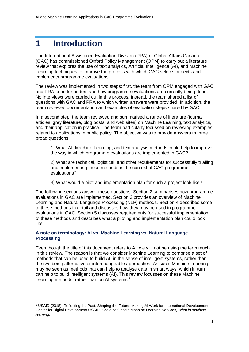## <span id="page-7-0"></span>**1 Introduction**

-

The International Assistance Evaluation Division (PRA) of Global Affairs Canada (GAC) has commissioned Oxford Policy Management (OPM) to carry out a literature review that explores the use of text analytics, Artificial Intelligence (AI), and Machine Learning techniques to improve the process with which GAC selects projects and implements programme evaluations.

The review was implemented in two steps: first, the team from OPM engaged with GAC and PRA to better understand how programme evaluations are currently being done. No interviews were carried out in this process. Instead, the team shared a list of questions with GAC and PRA to which written answers were provided. In addition, the team reviewed documentation and examples of evaluation steps shared by GAC.

In a second step, the team reviewed and summarised a range of literature (journal articles, grey literature, blog posts, and web sites) on Machine Learning, text analytics, and their application in practice. The team particularly focussed on reviewing examples related to applications in public policy. The objective was to provide answers to three broad questions:

1) What AI, Machine Learning, and text analysis methods could help to improve the way in which programme evaluations are implemented in GAC?

2) What are technical, logistical, and other requirements for successfully trialling and implementing these methods in the context of GAC programme evaluations?

3) What would a pilot and implementation plan for such a project look like?

The following sections answer these questions. Section [2](#page-9-0) summarises how programme evaluations in GAC are implemented. Section [3](#page-17-0) provides an overview of Machine Learning and Natural Language Processing (NLP) methods. Section [4](#page-20-0) describes some of these methods in detail and discusses how they may be used in programme evaluations in GAC. Section [5](#page-31-0) discusses requirements for successful implementation of these methods and describes what a piloting and implementation plan could look like.

#### **A note on terminology: AI vs. Machine Learning vs. Natural Language Processing**

Even though the title of this document refers to AI, we will not be using the term much in this review. The reason is that we consider Machine Learning to comprise a set of methods that can be used to build AI, in the sense of intelligent systems, rather than the two being alternative or interchangeable approaches. As such, Machine Learning may be seen as methods that can help to analyse data in smart ways, which in turn can help to build intelligent systems (AI). This review focusses on these Machine Learning methods, rather than on AI systems.<sup>1</sup>

<sup>1</sup> USAID (2018), Reflecting the Past, Shaping the Future: Making AI Work for International Development, Center for Digital Development USAID. See also Google Machine Learning Services, *What is machine learning*.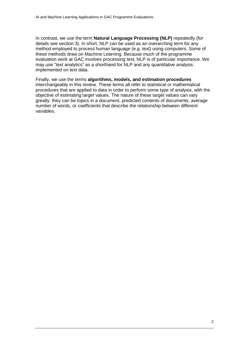In contrast, we use the term **Natural Language Processing (NLP)** repeatedly (for details see section [3\)](#page-17-0). In short, NLP can be used as an overarching term for any method employed to process human language (e.g. text) using computers. Some of these methods draw on Machine Learning. Because much of the programme evaluation work at GAC involves processing text, NLP is of particular importance. We may use "text analytics" as a shorthand for NLP and any quantitative analysis implemented on text data.

Finally, we use the terms **algorithms, models, and estimation procedures** interchangeably in this review. These terms all refer to statistical or mathematical procedures that are applied to data in order to perform some type of analysis, with the objective of estimating target values. The nature of these target values can vary greatly: they can be topics in a document, predicted contents of documents, average number of words, or coefficients that describe the relationship between different variables.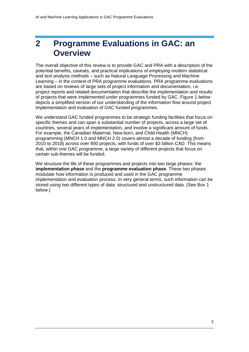### <span id="page-9-0"></span>**2 Programme Evaluations in GAC: an Overview**

The overall objective of this review is to provide GAC and PRA with a description of the potential benefits, caveats, and practical implications of employing modern statistical and text analysis methods – such as Natural Language Processing and Machine Learning – in the context of PRA programme evaluations. PRA programme evaluations are based on reviews of large sets of project information and documentation, i.e. project reports and related documentation that describe the implementation and results of projects that were implemented under programmes funded by GAC. [Figure 1](#page-14-0) below depicts a simplified version of our understanding of the information flow around project implementation and evaluation of GAC funded programmes.

We understand GAC funded programmes to be strategic funding facilities that focus on specific themes and can span a substantial number of projects, across a large set of countries, several years of implementation, and involve a significant amount of funds. For example, the Canadian Maternal, New-born, and Child Health (MNCH) programming (MNCH 1.0 and MNCH 2.0) covers almost a decade of funding (from 2010 to 2018) across over 900 projects, with funds of over \$3 billion CAD. This means that, within one GAC programme, a large variety of different projects that focus on certain sub-themes will be funded.

We structure the life of these programmes and projects into two large phases: the **implementation phase** and the **programme evaluation phase**. These two phases modulate how information is produced and used in the GAC programme implementation and evaluation process. In very general terms, such information can be stored using two different types of data: structured and unstructured data. (See Box 1 below.)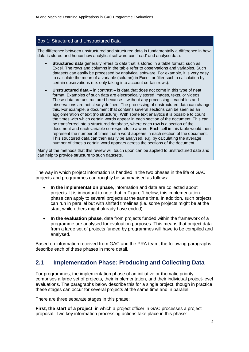#### <span id="page-10-1"></span>Box 1: Structured and Unstructured Data

The difference between unstructured and structured data is fundamentally a difference in how data is stored and hence how analytical software can 'read' and analyse data:

- **Structured data** generally refers to data that is stored in a table format, such as Excel. The rows and columns in the table refer to observations and variables. Such datasets can easily be processed by analytical software. For example, it is very easy to calculate the mean of a variable (column) in Excel, or filter such a calculation by certain observations (i.e. only taking into account certain rows).
- **Unstructured data** in contrast is data that does not come in this type of neat format. Examples of such data are electronically stored images, texts, or videos. These data are unstructured because – without any processing – variables and observations are not clearly defined. The processing of unstructured data can change this. For example, a document that contains several sections can be seen as an agglomeration of text (no structure). With some text analytics it is possible to count the times with which certain words appear in each section of the document. This can be transferred into a structured database, where each row is a section of the document and each variable corresponds to a word. Each cell in this table would then represent the number of times that a word appears in each section of the document. This structured data can then easily be analysed, e.g. by calculating the average number of times a certain word appears across the sections of the document.

Many of the methods that this review will touch upon can be applied to unstructured data and can help to provide structure to such datasets.

The way in which project information is handled in the two phases in the life of GAC projects and programmes can roughly be summarised as follows:

- **In the implementation phase**, information and data are collected about projects. It is important to note that in [Figure 1](#page-14-0) below, this implementation phase can apply to several projects at the same time. In addition, such projects can run in parallel but with shifted timelines (i.e. some projects might be at the start, while others might already have ended).
- **In the evaluation phase**, data from projects funded within the framework of a programme are analysed for evaluation purposes. This means that project data from a large set of projects funded by programmes will have to be compiled and analysed.

Based on information received from GAC and the PRA team, the following paragraphs describe each of these phases in more detail.

#### <span id="page-10-0"></span>**2.1 Implementation Phase: Producing and Collecting Data**

For programmes, the implementation phase of an initiative or thematic priority comprises a large set of projects, their implementation, and their individual project-level evaluations. The paragraphs below describe this for a single project, though in practice these stages can occur for several projects at the same time and in parallel.

There are three separate stages in this phase:

**First, the start of a project**, in which a project officer in GAC processes a project proposal. Two key information processing actions take place in this phase: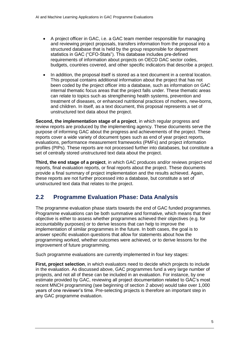- A project officer in GAC, i.e. a GAC team member responsible for managing and reviewing project proposals, transfers information from the proposal into a structured database that is held by the group responsible for department statistics in GAC ("CFO-Stats"). This database includes pre-defined requirements of information about projects on OECD DAC sector codes, budgets, countries covered, and other specific indicators that describe a project.
- In addition, the proposal itself is stored as a text document in a central location. This proposal contains additional information about the project that has not been coded by the project officer into a database, such as information on GAC internal thematic focus areas that the project falls under. These thematic areas can relate to topics such as strengthening health systems, prevention and treatment of diseases, or enhanced nutritional practices of mothers, new-borns, and children. In itself, as a text document, this proposal represents a set of unstructured text data about the project.

**Second, the implementation stage of a project**, in which regular progress and review reports are produced by the implementing agency. These documents serve the purpose of informing GAC about the progress and achievements of the project. These reports cover a wide variety of document types such as end of year project reports, evaluations, performance measurement frameworks (PMFs) and project information profiles (PIPs). These reports are not processed further into databases, but constitute a set of centrally stored unstructured text data about the project.

**Third, the end stage of a project**, in which GAC produces and/or reviews project-end reports, final evaluation reports, or final reports about the project. These documents provide a final summary of project implementation and the results achieved. Again, these reports are not further processed into a database, but constitute a set of unstructured text data that relates to the project.

#### <span id="page-11-0"></span>**2.2 Programme Evaluation Phase: Data Analysis**

The programme evaluation phase starts towards the end of GAC funded programmes. Programme evaluations can be both summative and formative, which means that their objective is either to assess whether programmes achieved their objectives (e.g. for accountability purposes) or to derive lessons that can help to improve the implementation of similar programmes in the future. In both cases, the goal is to answer specific evaluation questions that allow for statements about how the programming worked, whether outcomes were achieved, or to derive lessons for the improvement of future programming.

Such programme evaluations are currently implemented in four key stages:

**First, project selection**, in which evaluators need to decide which projects to include in the evaluation. As discussed above, GAC programmes fund a very large number of projects, and not all of these can be included in an evaluation. For instance, by one estimate provided by GAC, reviewing all project documentation related to GAC's most recent MNCH programming (see beginning of section [2](#page-9-0) above) would take over 1,000 years of one reviewer's time. Pre-selecting projects is therefore an important step in any GAC programme evaluation.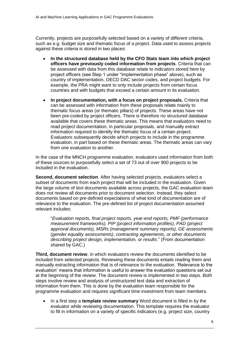Currently, projects are purposefully selected based on a variety of different criteria, such as e.g. budget size and thematic focus of a project. Data used to assess projects against these criteria is stored in two places:

- **In the structured database held by the CFO Stats team into which project officers have previously coded information from projects**. Criteria that can be assessed with data from this database relate to indicators stored here by project officers (see Step 1 under "Implementation phase" above), such as country of implementation, OECD DAC sector codes, and project budgets. For example, the PRA might want to only include projects from certain focus countries and with budgets that exceed a certain amount in its evaluation.
- **In project documentation, with a focus on project proposals.** Criteria that can be assessed with information from these proposals relate mainly to thematic focus areas (or thematic pillars) of projects. These areas have not been pre-coded by project officers. There is therefore no structured database available that covers these thematic areas. This means that evaluators need to read project documentation, in particular proposals, and manually extract information required to identify the thematic focus of a certain project. Evaluators subsequently decide which projects to include in the programme evaluation, in part based on these thematic areas. The thematic areas can vary from one evaluation to another.

In the case of the MNCH programme evaluation, evaluators used information from both of these sources to purposefully select a set of 73 out of over 900 projects to be included in the evaluation.

**Second, document selection**. After having selected projects, evaluators select a subset of documents from each project that will be included in the evaluation. Given the large volume of text documents available across projects, the GAC evaluation team does not review all documents prior to document selection. Instead, they select documents based on pre-defined expectations of what kind of documentation are of relevance to the evaluation. The pre-defined list of project documentation assumed relevant includes:

"*Evaluation reports, final project reports, year-end reports, PMF (performance measurement frameworks), PIP (project information profiles), PAD (project approval documents), MSRs (management summary reports), GE assessments (gender equality assessments), contracting agreements, or other documents describing project design, implementation, or results*." (From documentation shared by GAC.)

**Third, document review**, in which evaluators review the documents identified to be included from selected projects. Reviewing these documents entails reading them and manually extracting information that is of relevance to the evaluation. 'Relevance to the evaluation' means that information is useful to answer the evaluation questions set out at the beginning of the review. The document review is implemented in two steps. Both steps involve review and analysis of unstructured text data and extraction of information from them. This is done by the evaluation team responsible for the programme evaluation and requires significant time investment from team members.

 In a first step a **template review summary** Word document is filled in by the evaluator while reviewing documentation. This template requires the evaluator to fill in information on a variety of specific indicators (e.g. project size, country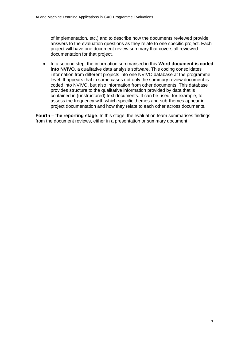of implementation, etc.) and to describe how the documents reviewed provide answers to the evaluation questions as they relate to one specific project. Each project will have one document review summary that covers all reviewed documentation for that project.

• In a second step, the information summarised in this **Word document is coded into NVIVO**, a qualitative data analysis software. This coding consolidates information from different projects into one NVIVO database at the programme level. It appears that in some cases not only the summary review document is coded into NVIVO, but also information from other documents. This database provides structure to the qualitative information provided by data that is contained in (unstructured) text documents. It can be used, for example, to assess the frequency with which specific themes and sub-themes appear in project documentation and how they relate to each other across documents.

**Fourth – the reporting stage**. In this stage, the evaluation team summarises findings from the document reviews, either in a presentation or summary document.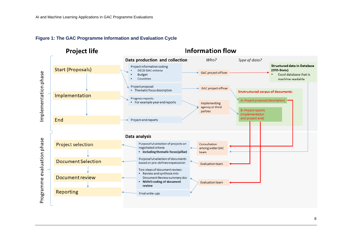<span id="page-14-0"></span>

#### **Figure 1: The GAC Programme Information and Evaluation Cycle**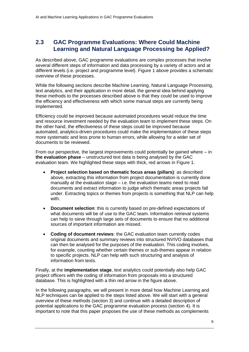#### <span id="page-15-0"></span>**2.3 GAC Programme Evaluations: Where Could Machine Learning and Natural Language Processing be Applied?**

As described above, GAC programme evaluations are complex processes that involve several different steps of information and data processing by a variety of actors and at different levels (i.e. project and programme level). [Figure 1](#page-14-0) above provides a schematic overview of these processes.

While the following sections describe Machine Learning, Natural Language Processing, text analytics, and their application in more detail, the general idea behind applying these methods to the processes described above is that they could be used to improve the efficiency and effectiveness with which some manual steps are currently being implemented.

Efficiency could be improved because automated procedures would reduce the time and resource investment needed by the evaluation team to implement these steps. On the other hand, the effectiveness of these steps could be improved because automated, analytics-driven procedures could make the implementation of these steps more systematic and less prone to human errors, while allowing for a wider set of documents to be reviewed.

From our perspective, the largest improvements could potentially be gained where  $-$  in **the evaluation phase** – unstructured text data is being analysed by the GAC evaluation team. We highlighted these steps with thick, red arrows in [Figure 1.](#page-14-0)

- **Project selection based on thematic focus areas (pillars)**: as described above, extracting this information from project documentation is currently done manually at the evaluation stage – i.e. the evaluation teams need to read documents and extract information to judge which thematic areas projects fall under. Extracting topics or themes from projects is something that NLP can help with.
- **Document selection**: this is currently based on pre-defined expectations of what documents will be of use to the GAC team. Information retrieval systems can help to sieve through large sets of documents to ensure that no additional sources of important information are missed.
- **Coding of document reviews**: the GAC evaluation team currently codes original documents and summary reviews into structured NVIVO databases that can then be analysed for the purposes of the evaluation. This coding involves, for example, counting whether certain themes or sub-themes appear in relation to specific projects. NLP can help with such structuring and analysis of information from texts.

Finally, at the **implementation stage**, text analytics could potentially also help GAC project officers with the coding of information from proposals into a structured database. This is highlighted with a thin red arrow in the figure above.

In the following paragraphs, we will present in more detail how Machine Learning and NLP techniques can be applied to the steps listed above. We will start with a general overview of these methods (section [3\)](#page-17-0) and continue with a detailed description of potential applications to the GAC programme evaluation process (section [4\)](#page-20-0). It is important to note that this paper proposes the use of these methods as complements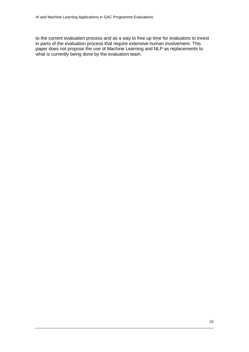to the current evaluation process and as a way to free up time for evaluators to invest in parts of the evaluation process that require extensive human involvement. This paper does not propose the use of Machine Learning and NLP as replacements to what is currently being done by the evaluation team.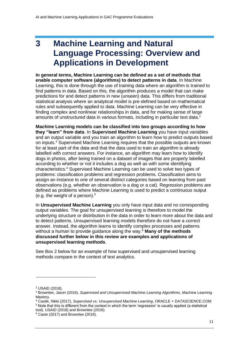## <span id="page-17-0"></span>**3 Machine Learning and Natural Language Processing: Overview and Applications in Development**

**In general terms, Machine Learning can be defined as a set of methods that enable computer software (algorithms) to detect patterns in data**. In Machine Learning, this is done through the use of training data where an algorithm is trained to find patterns in data. Based on this, the algorithm produces a model that can make predictions for and detect patterns in new (unseen) data. This differs from traditional statistical analysis where an analytical model is pre-defined based on mathematical rules and subsequently applied to data. Machine Learning can be very effective in finding complex and nonlinear relationships in data, and for making sense of large amounts of unstructured data in various formats, including in particular text data. $2$ 

**Machine Learning models can be classified into two groups according to how they "learn" from data**. In **Supervised Machine Learning** you have input variables and an output variable and you train an algorithm to learn how to predict outputs based on inputs.<sup>3</sup> Supervised Machine Learning requires that the possible outputs are known for at least part of the data and that the data used to train an algorithm is already labelled with correct answers. For instance, an algorithm may learn how to identify dogs in photos, after being trained on a dataset of images that are properly labelled according to whether or not it includes a dog as well as with some identifying characteristics.<sup>4</sup> Supervised Machine Learning can be used to solve two types of problems: classification problems and regression problems. Classification aims to assign an instance to one of several distinct categories based on learning from past observations (e.g. whether an observation is a dog or a cat). Regression problems are defined as problems where Machine Learning is used to predict a continuous output (e.g. the weight of a person). $5$ 

In **Unsupervised Machine Learning** you only have input data and no corresponding output variables. The goal for unsupervised learning is therefore to model the underlying structure or distribution in the data in order to learn more about the data and to detect patterns. Unsupervised learning models therefore do not have a correct answer. Instead, the algorithm learns to identify complex processes and patterns without a human to provide guidance along the way.<sup>6</sup> **Many of the methods discussed further below in this review are examples and applications of unsupervised learning methods**.

See Box 2 below for an example of how supervised and unsupervised learning methods compare in the context of text analytics.

-

<sup>4</sup> Castle, Nikki (2017), *Supervised vs. Unsupervised Machine Learning*, ORACLE + DATASCIENCE.COM <sup>5</sup> Note that this is different from the context in which the term 'regression' is usually applied (a statistical

tool). USAID (2018) and Brownlee (2016).

<sup>2</sup> USAID (2018).

<sup>3</sup> Brownlee, Jason (2016), *Supervised and Unsupervised Machine Learning Algorithms*, Machine Learning Mastery.

 $6$  Caste (2017) and Brownlee (2016).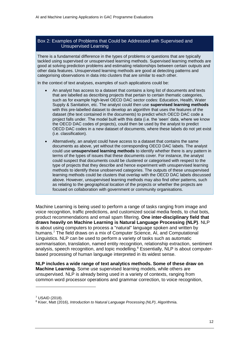#### <span id="page-18-0"></span>Box 2: Examples of Problems that Could be Addressed with Supervised and Unsupervised Learning

There is a fundamental difference in the types of problems or questions that are typically tackled using supervised or unsupervised learning methods. Supervised learning methods are good at solving prediction problems and estimating relationships between certain outputs and other data features. Unsupervised learning methods are good at detecting patterns and categorising observations in data into clusters that are similar to each other.

In the context of text analyses, examples of such applications could be:

- An analyst has access to a dataset that contains a long list of documents and texts that are labelled as describing projects that pertain to certain thematic categories, such as for example high-level OECD DAC sector codes: Education, Health, Water Supply & Sanitation, etc. The analyst could then use **supervised learning methods** with this pre-labelled dataset to develop an algorithm that uses the features of the dataset (the text contained in the documents) to predict which OECD DAC code a project falls under. The model built with this data (i.e. the 'seen' data, where we know the OECD DAC codes of projects), could then be used by the analyst to predict OECD DAC codes in a new dataset of documents, where these labels do not yet exist (i.e. classification).
- Alternatively, an analyst could have access to a dataset that contains the same documents as above, yet without the corresponding OECD DAC labels. The analyst could use **unsupervised learning methods** to identify whether there is any pattern in terms of the types of issues that these documents cover. For instance, the analyst could suspect that documents could be clustered or categorised with respect to the type of projects that they describe and hence experiment with unsupervised learning methods to identify these unobserved categories. The outputs of these unsupervised learning methods could be clusters that overlap with the OECD DAC labels discussed above. However, unsupervised learning methods may also find other patterns, such as relating to the geographical location of the projects or whether the projects are focused on collaboration with government or community organisations.

Machine Learning is being used to perform a range of tasks ranging from image and voice recognition, traffic predictions, and customized social media feeds, to chat bots, product recommendations and email spam filtering. **One inter-disciplinary field that draws heavily on Machine Learning is Natural Language Processing (NLP)**. NLP is about using computers to process a "natural" language spoken and written by humans.<sup>7</sup> The field draws on a mix of Computer Science, AI, and Computational Linguistics. NLP can be used to perform a variety of tasks such as automatic summarisation, translation, named entity recognition, relationship extraction, sentiment analysis, speech recognition, and topic modelling.<sup>8</sup> Essentially, NLP is about computerbased processing of human language interpreted in its widest sense.

**NLP includes a wide range of text analytics methods. Some of these draw on Machine Learning.** Some use supervised learning models, while others are unsupervised. NLP is already being used in a variety of contexts, ranging from common word processor operations and grammar correction, to voice recognition,

<sup>7</sup> USAID (2018).

<sup>8</sup> Kiser, Matt (2016), *Introduction to Natural Language Processing (NLP)*, Algorithmia.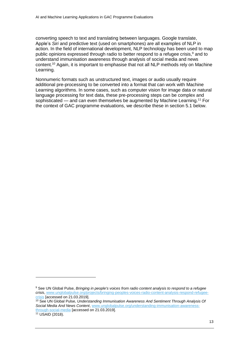converting speech to text and translating between languages. Google translate, Apple's *Siri* and predictive text (used on smartphones) are all examples of NLP in action. In the field of international development, NLP technology has been used to map public opinions expressed through radio to better respond to a refugee crisis,<sup>9</sup> and to understand immunisation awareness through analysis of social media and news content.<sup>10</sup> Again, it is important to emphasise that not all NLP methods rely on Machine Learning.

Nonnumeric formats such as unstructured text, images or audio usually require additional pre-processing to be converted into a format that can work with Machine Learning algorithms. In some cases, such as computer vision for image data or natural language processing for text data, these pre-processing steps can be complex and sophisticated — and can even themselves be augmented by Machine Learning. <sup>11</sup> For the context of GAC programme evaluations, we describe these in section [5.1](#page-31-1) below.

<sup>9</sup> See UN Global Pulse, *Bringing in people's voices from radio content analysis to respond to a refugee crisis*, [www.unglobalpulse.org/projects/bringing-peoples-voices-radio-content-analysis-respond-refugee](http://www.unglobalpulse.org/projects/bringing-peoples-voices-radio-content-analysis-respond-refugee-crisis)[crisis](http://www.unglobalpulse.org/projects/bringing-peoples-voices-radio-content-analysis-respond-refugee-crisis) [accessed on 21.03.2019].

<sup>10</sup> See UN Global Pulse, *Understanding Immunisation Awareness And Sentiment Through Analysis Of Social Media And News Content*, [www.unglobalpulse.org/understanding-immunisation-awareness](https://www.unglobalpulse.org/understanding-immunisation-awareness-through-social-media)[through-social-media](https://www.unglobalpulse.org/understanding-immunisation-awareness-through-social-media) [accessed on 21.03.2019]. <sup>11</sup> USAID (2018).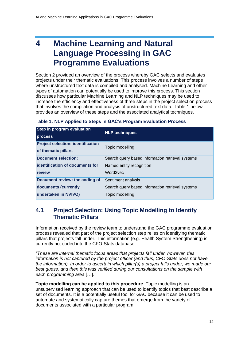## <span id="page-20-0"></span>**4 Machine Learning and Natural Language Processing in GAC Programme Evaluations**

Section [2](#page-9-0) provided an overview of the process whereby GAC selects and evaluates projects under their thematic evaluations. This process involves a number of steps where unstructured text data is compiled and analysed. Machine Learning and other types of automation can potentially be used to improve this process. This section discusses how particular Machine Learning and NLP techniques may be used to increase the efficiency and effectiveness of three steps in the project selection process that involves the compilation and analysis of unstructured text data. [Table 1](#page-20-2) below provides an overview of these steps and the associated analytical techniques.

| Step in program evaluation<br>process                           | <b>NLP techniques</b>                            |
|-----------------------------------------------------------------|--------------------------------------------------|
| <b>Project selection: identification</b><br>of thematic pillars | Topic modelling                                  |
| <b>Document selection:</b>                                      | Search query based information retrieval systems |
| identification of documents for                                 | Named entity recognition                         |
| review                                                          | Word2vec                                         |
| Document review: the coding of                                  | Sentiment analysis                               |
| documents (currently                                            | Search query based information retrieval systems |
| undertaken in NVIVO)                                            | Topic modelling                                  |

#### <span id="page-20-2"></span>**Table 1: NLP Applied to Steps in GAC's Program Evaluation Process**

#### <span id="page-20-1"></span>**4.1 Project Selection: Using Topic Modelling to Identify Thematic Pillars**

Information received by the review team to understand the GAC programme evaluation process revealed that part of the project selection step relies on identifying thematic pillars that projects fall under. This information (e.g. Health System Strengthening) is currently not coded into the CFO-Stats database:

*"These are internal thematic focus areas that projects fall under, however, this information is not captured by the project officer (and thus, CFO-Stats does not have the information). In order to ascertain which pillar(s) a project falls under, we made our best guess, and then this was verified during our consultations on the sample with each programming area* […]*."*

**Topic modelling can be applied to this procedure.** Topic modelling is an unsupervised learning approach that can be used to identify topics that best describe a set of documents. It is a potentially useful tool for GAC because it can be used to automate and systematically capture themes that emerge from the variety of documents associated with a particular program.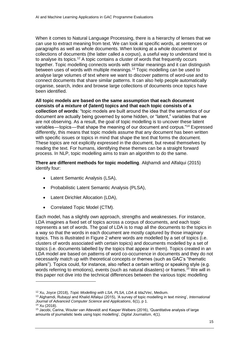When it comes to Natural Language Processing, there is a hierarchy of lenses that we can use to extract meaning from text. We can look at specific words, at sentences or paragraphs as well as whole documents. When looking at a whole document or collections of documents (the latter called a *corpus*), a useful way to understand text is to analyse its topics.<sup>12</sup> A topic contains a cluster of words that frequently occurs together. Topic modelling connects words with similar meanings and it can distinguish between uses of words with multiple meanings.<sup>13</sup> Topic modelling can be used to analyse large volumes of text where we want to discover patterns of word-use and to connect documents that share similar patterns. It can also help people automatically organise, search, index and browse large collections of documents once topics have been identified.

**All topic models are based on the same assumption that each document consists of a mixture of (latent) topics and that each topic consists of a collection of words**: "topic models are built around the idea that the semantics of our document are actually being governed by some hidden, or "latent," variables that we are not observing. As a result, the goal of topic modelling is to uncover these latent variables—topics—that shape the meaning of our document and corpus."<sup>14</sup> Expressed differently, this means that topic models assume that any document has been written with specific issues or topics in mind that shape the text that forms the document. These topics are not explicitly expressed in the document, but reveal themselves by reading the text. For humans, identifying these themes can be a straight forward process. In NLP, topic modelling aims to train an algorithm to do the same.

**There are different methods for topic modelling**. Alqhamdi and Alfalqui (2015) identify four:

- Latent Semantic Analysis (LSA),
- Probabilistic Latent Semantic Analysis (PLSA),
- Latent Dirichlet Allocation (LDA),
- Correlated Topic Model (CTM).

Each model, has a slightly own approach, strengths and weaknesses. For instance, LDA imagines a fixed set of topics across a corpus of documents, and each topic represents a set of words. The goal of LDA is to map all the documents to the topics in a way so that the words in each document are mostly captured by those imaginary topics. This is illustrated in [Figure 2](#page-22-0) where words are modelled by a set of topics (i.e. clusters of words associated with certain topics) and documents modelled by a set of topics (i.e. documents labelled by the topics that appear in them). Topics created in an LDA model are based on patterns of word co-occurrence in documents and they do not necessarily match up with theoretical concepts or themes (such as GAC's "thematic pillars"). Topics could, for instance, also reflect a certain writing or speaking style (e.g. words referring to emotions), events (such as natural disasters) or frames.<sup>15</sup> We will in this paper not dive into the technical differences between the various topic modelling

<sup>12</sup> Xu, Joyce (2018), *Topic Modelling with LSA, PLSA, LDA & Ida2Vec*, Medium.

<sup>13</sup> Alghamdi, Rubayyi and Khalid Alfalqui (2015), 'A survey of topic modelling in text mining', *International Journal of Advanced Computer Science and Applications*, 6(1), p 1.

<sup>14</sup> Xu (2018).

<sup>&</sup>lt;sup>15</sup> Jacobi, Carina, Wouter van Atteveldt and Kasper Welbers (2016), 'Quantitative analysis of large amounts of journalistic texts using topic modelling', *Digital Journalism*, 4(1).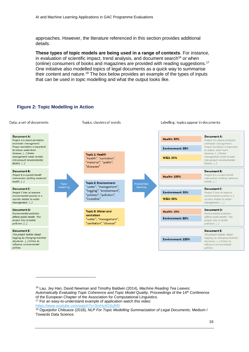approaches. However, the literature referenced in this section provides additional details.

**These types of topic models are being used in a range of contexts**. For instance, in evaluation of scientific impact, trend analysis, and document search<sup>16</sup> or when (online) consumers of books and magazines are provided with reading suggestions.<sup>17</sup> One initiative also modelled topics of legal documents as a quick way to summarise their content and nature.<sup>18</sup> The box below provides an example of the types of inputs that can be used in topic modelling and what the output looks like.

#### <span id="page-22-0"></span>**Figure 2: Topic Modelling in Action**



<https://www.youtube.com/watch?v=3mHy4OSyRf0>

<sup>16</sup> Lau, Jey Han, David Newman and Timothy Baldwin (2014), *Machine Reading Tea Leaves: Automatically Evaluating Topic Coherence and Topic Model Quality*, Proceedings of the 14th Conference of the European Chapter of the Association for Computational Linguistics. <sup>17</sup> For an easy-to-understand example of application watch this video:

<sup>18</sup> Oguejiofor Chibueze (2018), *NLP For Topic Modelling Summarization of Legal Documents*, Medium / Towards Data Science.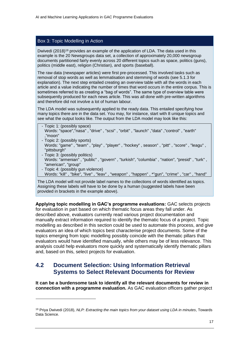#### <span id="page-23-1"></span>Box 3: Topic Modelling in Action

Dwivedi (2018)<sup>19</sup> provides an example of the application of LDA. The data used in this example is the 20 Newsgroups data set, a collection of approximately 20,000 newsgroup documents partitioned fairly evenly across 20 different topics such as space, politics (guns), politics (middle east), religion (Christian), and sports (baseball).

The raw data (newspaper articles) were first pre-processed. This involved tasks such as removal of stop words as well as lemmatisation and stemming of words (see [5.1.3](#page-33-0) for explanation). The next step entailed creating an overview table with all the words in each article and a value indicating the number of times that word occurs in the entire corpus. This is sometimes referred to as creating a "bag of words". The same type of overview table were subsequently produced for each news article. This was all done with pre-written algorithms and therefore did not involve a lot of human labour.

The LDA model was subsequently applied to the ready data. This entailed specifying how many topics there are in the data set. You may, for instance, start with 8 unique topics and see what the output looks like. The output from the LDA model may look like this:

- Topic 1: (possibly space) Words: "space","nasa" , "drive" , "scsi" , "orbit" , "launch" ,"data" ,"control" , "earth" ,"moon"
- Topic 2: (possibly sports)

-

- Words: "game" , "team" , "play" , "player" , "hockey" , season" , "pitt" , "score" , "leagu" , "pittsburgh"
- Topic 3: (possibly politics) Words: "armenian" , "public" , "govern" , "turkish", "columbia" , "nation", "presid" , "turk" , "american", "group"
- Topic 4: (possibly gun violence) Words: "kill" , "bike", "live" , "leav" , "weapon" , "happen" , \*"gun", "crime" , "car" , "hand"

The LDA model will not provide label names to the collections of words identified as topics. Assigning these labels will have to be done by a human (suggested labels have been provided in brackets in the example above).

**Applying topic modelling in GAC's programme evaluations:** GAC selects projects for evaluation in part based on which thematic focus areas they fall under. As described above, evaluators currently read various project documentation and manually extract information required to identify the thematic focus of a project. Topic modelling as described in this section could be used to automate this process, and give evaluators an idea of which topics best characterise project documents. Some of the topics emerging from topic modelling possibly coincide with the thematic pillars that evaluators would have identified manually, while others may be of less relevance. This analysis could help evaluators more quickly and systematically identify thematic pillars and, based on this, select projects for evaluation.

#### <span id="page-23-0"></span>**4.2 Document Selection: Using Information Retrieval Systems to Select Relevant Documents for Review**

**It can be a burdensome task to identify all the relevant documents for review in connection with a programme evaluation.** As GAC evaluation officers gather project

<sup>19</sup> Priya Dwivedi (2018), *NLP: Extracting the main topics from your dataset using LDA in minutes*, Towards Data Science.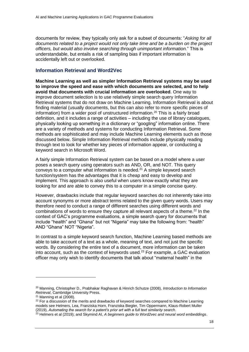documents for review, they typically only ask for a subset of documents: "*Asking for all documents related to a project would not only take time and be a burden on the project officers, but would also involve searching through unimportant information.*" This is understandable, but entails a risk of sampling bias if important information is accidentally left out or overlooked.

#### **Information Retrieval and Word2Vec**

**Machine Learning as well as simpler Information Retrieval systems may be used to improve the speed and ease with which documents are selected, and to help avoid that documents with crucial information are overlooked**. One way to improve document selection is to use relatively simple search query Information Retrieval systems that do not draw on Machine Learning. Information Retrieval is about finding material (usually documents, but this can also refer to more specific pieces of information) from a wider pool of unstructured information.<sup>20</sup> This is a fairly broad definition, and it includes a range of activities – including the use of library catalogues, physically looking up something in a dictionary or "googling" information online. There are a variety of methods and systems for conducting Information Retrieval. Some methods are sophisticated and may include Machine Learning elements such as those discussed below. Simple Information Retrieval methods include physically reading through text to look for whether key pieces of information appear, or conducting a keyword search in Microsoft Word.

A fairly simple Information Retrieval system can be based on a model where a user poses a search query using operators such as AND, OR, and NOT. This query conveys to a computer what information is needed.<sup>21</sup> A simple keyword search function/system has the advantages that it is cheap and easy to develop and implement. This approach is also useful when users know exactly what they are looking for and are able to convey this to a computer in a simple concise query.

However, drawbacks include that regular keyword searches do not inherently take into account synonyms or more abstract terms related to the given query words. Users may therefore need to conduct a range of different searches using different words and combinations of words to ensure they capture all relevant aspects of a theme. <sup>22</sup> In the context of GAC's programme evaluations, a simple search query for documents that include "health" and "Ghana" but not "Nigeria" may take the following from: "health" AND "Ghana" NOT "Nigeria".

In contrast to a simple keyword search function, Machine Learning based methods are able to take account of a text as a whole, meaning of text, and not just the specific words. By considering the entire text of a document, more information can be taken into account, such as the context of keywords used. $23$  For example, a GAC evaluation officer may only wish to identify documents that talk about "maternal health" in the

<sup>20</sup> Manning, Christopher D., Prabhakar Raghavan & Hinrich Schutze (2008), *Introduction to Information Retrieval*, Cambridge University Press.

 $21$  Manning et al (2008).

 $22$  For a discussion of the merits and drawbacks of keyword searches compared to Machine Learning models see Helmers, Lea, Franziska Horn, Franziska Biegler, Tim Oppermann, Klaus-Robert Muller (2019), *Automating the search for a patent's prior art with a full text similarity search*.

<sup>23</sup> Helmers et al (2019); and Skymind AI, *A beginners guide to Word2vec and neural word embeddings*.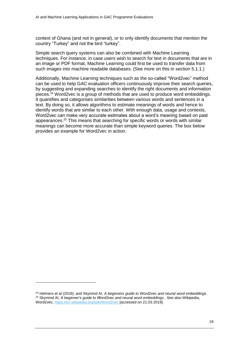context of Ghana (and not in general), or to only identify documents that mention the country "Turkey" and not the bird "turkey".

Simple search query systems can also be combined with Machine Learning techniques. For instance, in case users wish to search for text in documents that are in an image or PDF format, Machine Learning could first be used to transfer data from such images into machine readable databases. (See more on this in section [5.1.1.](#page-31-2))

Additionally, Machine Learning techniques such as the so-called "Word2vec" method can be used to help GAC evaluation officers continuously improve their search queries, by suggesting and expanding searches to identify the right documents and information pieces.<sup>24</sup> Word2vec is a group of methods that are used to produce word embeddings. It quantifies and categorises similarities between various words and sentences in a text. By doing so, it allows algorithms to estimate meanings of words and hence to identify words that are similar to each other. With enough data, usage and contexts, Word2vec can make very accurate estimates about a word's meaning based on past appearances.<sup>25</sup> This means that searching for specific words or words with similar meanings can become more accurate than simple keyword queries. The box below provides an example for Word2vec in action.

<sup>24</sup> Helmers et al (2019); and Skymind AI, *A beginners guide to Word2vec and neural word embeddings*. <sup>25</sup> Skymind AI, *A beginner's guide to Word2vec and neural word embeddings*.. See also Wikipedia, Word2vec[, https://en.wikipedia.org/wiki/Word2vec](https://en.wikipedia.org/wiki/Word2vec) [accessed on 21.03.2019].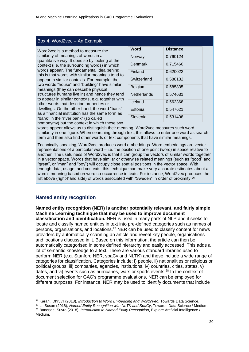| Word2vec is a method to measure the                                                                                                            |   |                                              |  |  |
|------------------------------------------------------------------------------------------------------------------------------------------------|---|----------------------------------------------|--|--|
| similarity of meanings of words in a<br>quantitative way. It does so by looking at the                                                         | N |                                              |  |  |
| context (i.e. the surrounding words) in which<br>words appear. The fundamental idea behind<br>this is that words with similar meanings tend to |   |                                              |  |  |
|                                                                                                                                                |   | appear in similar contexts. For example, the |  |  |
| two words "house" and "building" have similar<br>meanings (they can describe physical                                                          |   |                                              |  |  |
| structures humans live in) and hence they tend<br>to appear in similar contexts, e.g. together with                                            | N |                                              |  |  |
| other words that describe properties or                                                                                                        | Ъ |                                              |  |  |
| dwellings. On the other hand, the word "bank"<br>as a financial institution has the same form as                                               | F |                                              |  |  |
| "bank" in the "river bank" (so called                                                                                                          | Ś |                                              |  |  |
| homonymy) but the context in which these two                                                                                                   |   |                                              |  |  |

<span id="page-26-0"></span>Box 4: Word2vec – An Example

| Word        | <b>Distance</b> |
|-------------|-----------------|
| Norway      | 0.760124        |
| Denmark     | 0.715460        |
| Finland     | 0.620022        |
| Switzerland | 0.588132        |
| Belgium     | 0.585835        |
| Netherlands | 0.574631        |
| Iceland     | 0.562368        |
| Estonia     | 0.547621        |
| Slovenia    | 0.531408        |

homonymy) but the context in which these two

words appear allows us to distinguish their meaning. Word2vec measures such word similarity in one figure. When searching through text, this allows to enter one word as search term and then also find other words or text components that have similar meanings.

Technically speaking, Word2vec produces word embeddings. Word embeddings are vector representations of a particular word – i.e. the position of one point (word) in space relative to another. The usefulness of Word2vec is that it can group the vectors of similar words together in a vector space. Words that have similar or otherwise related meanings (such as "good" and "great", or "man" and "boy") will occupy close spatial positions in the vector space. With enough data, usage, and contexts, this technique can make very accurate estimates about a word's meaning based on word co-occurrence in texts. For instance, Word2vec produces the list above (right-hand side) of words associated with "Sweden" in order of proximity. 26

#### **Named entity recognition**

-

**Named entity recognition (NER) is another potentially relevant, and fairly simple Machine Learning technique that may be used to improve document classification and identification.** NER is used in many parts of NLP and it seeks to

locate and classify named entities in text into pre-defined categories such as names of persons, organisations, and locations.<sup>27</sup> NER can be used to classify content for news providers by automatically scanning an article and reveal key people, organisations and locations discussed in it. Based on this information, the article can then be automatically categorised in some defined hierarchy and easily accessed. This adds a lot of semantic knowledge to a text. There are various standard libraries used to perform NER (e.g. Stanford NER, spaCy and NLTK) and these include a wide range of categories for classification. Categories include: i) people, ii) nationalities or religious or political groups, iii) companies, agencies, institutions, iv) countries, cities, states, v) dates, and vi) events such as hurricanes, wars or sports events.<sup>28</sup> In the context of document selection for GAC's programme evaluations, NER can be employed for different purposes. For instance, NER may be used to identify documents that include

<sup>26</sup> Karani, Dhruvil (2018), *Introduction to Word Embedding and Word2Vec*, Towards Data Science.

<sup>27</sup> Li, Susan (2018), *Named Entity Recognition with NLTK and SpaCy*, Towards Data Science / Medium. <sup>28</sup> Banerjee, Suvro (2018), *Introduction to Named Entity Recognition*, Explore Artificial Intelligence / Medium.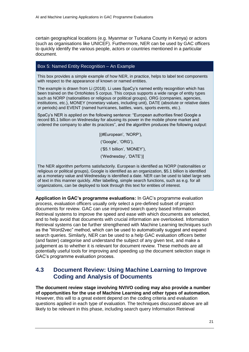certain geographical locations (e.g. Myanmar or Turkana County in Kenya) or actors (such as organisations like UNICEF). Furthermore, NER can be used by GAC officers to quickly identify the various people, actors or countries mentioned in a particular document.

#### <span id="page-27-1"></span>Box 5: Named Entity Recognition – An Example

This box provides a simple example of how NER, in practice, helps to label text components with respect to the appearance of known or named entities.

The example is drawn from Li (2018). Li uses SpaCy's named entity recognition which has been trained on the OntoNotes 5 corpus. This corpus supports a wide range of entity types such as NORP (nationalities or religious or political groups), ORG (companies, agencies, institutions, etc.), MONEY (monetary values, including unit), DATE (absolute or relative dates or periods) and EVENT (named hurricanes, battles, wars, sports events, etc.).

SpaCy's NER is applied on the following sentence: "European authorities fined Google a record \$5.1 billion on Wednesday for abusing its power in the mobile phone market and ordered the company to alter its practices", and the algorithm produces the following output:

> [(#European', 'NORP'), ('Google', 'ORG'), ('\$5.1 billion', 'MONEY'), ('Wednesday', 'DATE')]

The NER algorithm performs satisfactorily. European is identified as NORP (nationalities or religious or political groups), Google is identified as an organization, \$5.1 billion is identified as a monetary value and Wednesday is identified a date. NER can be used to label large sets of text in this manner quickly. After labelling, simple search functions, such as e.g. for all organizations, can be deployed to look through this text for entities of interest.

**Application in GAC's programme evaluations:** In GAC's programme evaluation process, evaluation officers usually only select a pre-defined subset of project documents for review. GAC can use improved search query based Information Retrieval systems to improve the speed and ease with which documents are selected, and to help avoid that documents with crucial information are overlooked. Information Retrieval systems can be further strengthened with Machine Learning techniques such as the "Word2vec" method, which can be used to automatically suggest and expand search queries. Similarly, NER can be used to a help GAC evaluation officers better (and faster) categorise and understand the subject of any given text, and make a judgement as to whether it is relevant for document review. These methods are all potentially useful tools for improving and speeding up the document selection stage in GAC's programme evaluation process.

#### <span id="page-27-0"></span>**4.3 Document Review: Using Machine Learning to Improve Coding and Analysis of Documents**

**The document review stage involving NVIVO coding may also provide a number of opportunities for the use of Machine Learning and other types of automation.** However, this will to a great extent depend on the coding criteria and evaluation questions applied in each type of evaluation. The techniques discussed above are all likely to be relevant in this phase, including search query Information Retrieval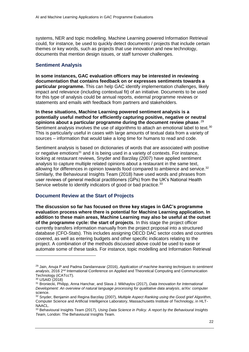systems, NER and topic modelling. Machine Learning powered Information Retrieval could, for instance, be used to quickly detect documents / projects that include certain themes or key words, such as projects that use innovation and new technology, documents that mention design issues, or staff turnover challenges.

#### **Sentiment Analysis**

**In some instances, GAC evaluation officers may be interested in reviewing documentation that contains feedback on or expresses sentiments towards a particular programme.** This can help GAC identify implementation challenges, likely impact and relevance (including contextual fit) of an initiative. Documents to be used for this type of analysis could be annual reports, external programme reviews or statements and emails with feedback from partners and stakeholders.

**In these situations, Machine Learning powered sentiment analysis is a potentially useful method for efficiently capturing positive, negative or neutral opinions about a particular programme during the document review phase**. 29 Sentiment analysis involves the use of algorithms to attach an emotional label to text.<sup>30</sup> This is particularly useful in cases with large amounts of textual data from a variety of sources – information that would take a long time for humans to read and code.

Sentiment analysis is based on dictionaries of words that are associated with positive or negative emotions<sup>31</sup> and it is being used in a variety of contexts. For instance, looking at restaurant reviews, Snyder and Barzilay (2007) have applied sentiment analysis to capture multiple related opinions about a restaurant in the same text, allowing for differences in opinion towards food compared to ambience and service. $32$ Similarly, the Behavioural Insights Team (2018) have used words and phrases from user reviews of general medical practitioners (GPs) from the UK's National Health Service website to identify indicators of good or bad practice.<sup>33</sup>

#### **Document Review at the Start of Projects**

**The discussion so far has focused on three key stages in GAC's programme evaluation process where there is potential for Machine Learning application. In addition to these main areas, Machine Learning may also be useful at the outset of the programme cycle: the start of projects**. In this stage the project officer currently transfers information manually from the project proposal into a structured database (CFO-Stats). This includes assigning OECD DAC sector codes and countries covered, as well as entering budgets and other specific indicators relating to the project. A combination of the methods discussed above could be used to ease or automate some of these tasks. For instance, topic modelling and Information Retrieval

<sup>29</sup> Jain, Anuja P and Padma Dandannavar (2016), *Application of machine learning techniques to sentiment analysis*, 2016 2nd International Conference on Applied and Theoretical Computing and Communication Technology (iCATccT).

<sup>30</sup> USAID (2018)

<sup>31</sup> Broniecki, Philipp, Anna Hanchar, and Slava J. Mikhaylov (2017), *Data Innovation for International Development: An overview of natural language processing for qualitative data analysis*, arXiv: computer science.

<sup>32</sup> Snyder, Benjamin and Regina Barzilay (2007), *Multiple Aspect Ranking using the Good grief Algorithm*, Computer Science and Artificial Intelligence Laboratory, Massachusetts Institute of Technology, in HLT-NAACL.

<sup>33</sup> Behavioural Insights Team (2017), *Using Data Science in Policy. A report by the Behavioural Insights Team*, London: The Behavioural Insights Team.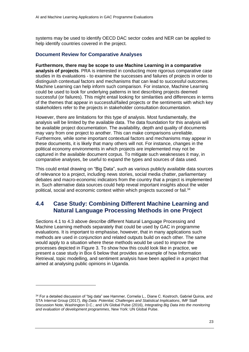systems may be used to identify OECD DAC sector codes and NER can be applied to help identify countries covered in the project.

#### **Document Review for Comparative Analyses**

**Furthermore, there may be scope to use Machine Learning in a comparative analysis of projects**. PRA is interested in conducting more rigorous comparative case studies in its evaluations - to examine the successes and failures of projects in order to distinguish contextual factors and mechanisms that can lead to successful outcomes. Machine Learning can help inform such comparison. For instance, Machine Learning could be used to look for underlying patterns in text describing projects deemed successful (or failures). This might entail looking for similarities and differences in terms of the themes that appear in successful/failed projects or the sentiments with which key stakeholders refer to the projects in stakeholder consultation documentation.

However, there are limitations for this type of analysis. Most fundamentally, the analysis will be limited by the available data. The data foundation for this analysis will be available project documentation. The availability, depth and quality of documents may vary from one project to another. This can make comparisons unreliable. Furthermore, while some important contextual factors and mechanisms may appear in these documents, it is likely that many others will not. For instance, changes in the political economy environments in which projects are implemented may not be captured in the available document corpus. To mitigate such weaknesses it may, in comparative analyses, be useful to expand the types and sources of data used.

This could entail drawing on "Big Data", such as various publicly available data sources of relevance to a project, including news stories, social media chatter, parliamentary debates and macro-economic indicators from the country that a project is implemented in. Such alternative data sources could help reveal important insights about the wider political, social and economic context within which projects succeed or fail.<sup>34</sup>

#### <span id="page-29-0"></span>**4.4 Case Study: Combining Different Machine Learning and Natural Language Processing Methods in one Project**

Sections [4.1](#page-20-1) to [4.3](#page-27-0) above describe different Natural Language Processing and Machine Learning methods separately that could be used by GAC in programme evaluations. It is important to emphasise, however, that in many applications such methods are used in conjunction and related outputs build on each other. The same would apply to a situation where these methods would be used to improve the processes depicted in [Figure 3.](#page-37-1) To show how this could look like in practice, we present a case study in Box 6 below that provides an example of how Information Retrieval, topic modelling, and sentiment analysis have been applied in a project that aimed at analysing public opinions in Uganda.

<sup>34</sup> For a detailed discussion of "big data" see Hammer, Cornelia L., Diane C. Kostroch, Gabriel Quiros, and STA Internal Group (2017*), Big Data: Potential, Challenges and Statistical Implications*, IMF Staff Discussion Note, Washington D.C.; and UN Global Pulse (2016), *Integrating Big Data into the monitoring and evaluation of development programmes*, New York: UN Global Pulse.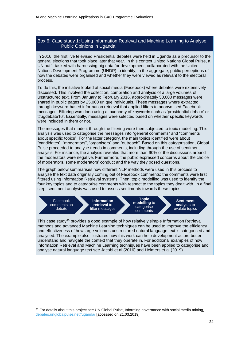#### <span id="page-30-0"></span>Box 6: Case study 1: Using Information Retrieval and Machine Learning to Analyse Public Opinions in Uganda

In 2016, the first live televised Presidential debates were held in Uganda as a precursor to the general elections that took place later that year. In this context United Nations Global Pulse, a UN outfit tasked with harnessing big data for development, collaborated with the United Nations Development Programme (UNDP) to identify, in the aggregate, public perceptions of how the debates were organised and whether they were viewed as relevant to the electoral process.

To do this, the initiative looked at social media (Facebook) where debates were extensively discussed. This involved the collection, compilation and analysis of a large volumes of unstructured text. From January to February 2016, approximately 50,000 messages were shared in public pages by 25,000 unique individuals. These messages where extracted through keyword-based information retrieval that applied filters to anonymised Facebook messages. Filtering was done using a taxonomy of keywords such as 'presidential debate' or '#ugdebate16'. Essentially, messages were selected based on whether specific keywords were included in them or not.

The messages that made it through the filtering were then subjected to topic modelling. This analysis was used to categorise the messages into "general comments" and "comments about specific topics". For the latter category, the main topics identified were about "candidates", "moderators", "organisers" and "outreach". Based on this categorisation, Global Pulse proceeded to analyse trends in comments, including through the use of sentiment analysis. For instance, the analysis revealed that more than 90% of the discussions around the moderators were negative. Furthermore, the public expressed concerns about the choice of moderators, some moderators' conduct and the way they posed questions.

The graph below summarises how different NLP methods were used in this process to analyse the text data originally coming out of Facebook comments: the comments were first filtered using Information Retrieval systems. Then, topic modelling was used to identify the four key topics and to categorise comments with respect to the topics they dealt with. In a final step, sentiment analysis was used to assess sentiments towards these topics.



This case study<sup>35</sup> provides a good example of how relatively simple Information Retrieval methods and advanced Machine Learning techniques can be used to improve the efficiency and effectiveness of how large volumes unstructured natural language text is categorised and analysed. The example also illustrates how this work can help development actors better understand and navigate the context that they operate in. For additional examples of how Information Retrieval and Machine Learning techniques have been applied to categorise and analyse natural language text see Jacobi et al (2016) and Helmers et al (2019).

<sup>&</sup>lt;sup>35</sup> For details about this project see UN Global Pulse, Informing governance with social media mining, [debates.unglobalpulse.net//uganda/](https://debates.unglobalpulse.net/uganda/) [accessed on 21.03.2019].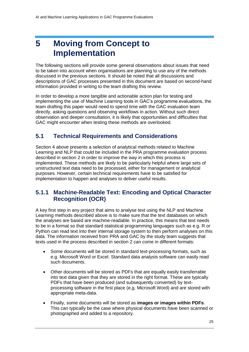## <span id="page-31-0"></span>**5 Moving from Concept to Implementation**

The following sections will provide some general observations about issues that need to be taken into account when organisations are planning to use any of the methods discussed in the previous sections. It should be noted that all discussions and descriptions of GAC processes presented in this document are based on second-hand information provided in writing to the team drafting this review.

In order to develop a more tangible and actionable action plan for testing and implementing the use of Machine Learning tools in GAC's programme evaluations, the team drafting this paper would need to spend time with the GAC evaluation team directly, asking questions and observing workflows in action. Without such direct observation and deeper consultation, it is likely that opportunities and difficulties that GAC might encounter when testing these methods are overlooked.

#### <span id="page-31-1"></span>**5.1 Technical Requirements and Considerations**

Section [4](#page-20-0) above presents a selection of analytical methods related to Machine Learning and NLP that could be included in the PRA programme evaluation process described in section [2](#page-9-0) in order to improve the way in which this process is implemented. These methods are likely to be particularly helpful where large sets of unstructured text data need to be processed, either for management or analytical purposes. However, certain technical requirements have to be satisfied for implementation to happen and analyses to deliver useful results.

#### <span id="page-31-2"></span>**5.1.1 Machine-Readable Text: Encoding and Optical Character Recognition (OCR)**

A key first step in any project that aims to analyse text using the NLP and Machine Learning methods described above is to make sure that the text databases on which the analyses are based are machine-readable. In practice, this means that text needs to be in a format so that standard statistical programming languages such as e.g. R or Python can read text into their internal storage system to then perform analyses on this data. The information received from PRA and GAC by the study team suggests that texts used in the process described in section [2](#page-9-0) can come in different formats:

- Some documents will be stored in standard text-processing formats, such as e.g. Microsoft Word or Excel. Standard data analysis software can easily read such documents.
- Other documents will be stored as PDFs that are equally easily transferrable into text data given that they are stored in the right format. These are typically PDFs that have been produced (and subsequently converted) by textprocessing software in the first place (e.g. Microsoft Word) and are stored with appropriate meta-data.
- Finally, some documents will be stored as **images or images within PDFs**. This can typically be the case where physical documents have been scanned or photographed and added to a repository.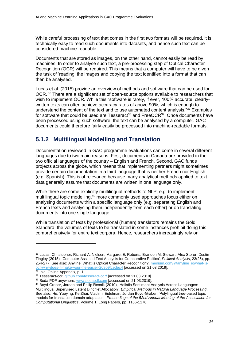While careful processing of text that comes in the first two formats will be required, it is technically easy to read such documents into datasets, and hence such text can be considered machine-readable.

Documents that are stored as images, on the other hand, cannot easily be read by machines. In order to analyse such text, a pre-processing step of Optical Character Recognition (OCR) will be required. This means that a computer will have to be given the task of 'reading' the images and copying the text identified into a format that can then be analysed.

Lucas et al. (2015) provide an overview of methods and software that can be used for OCR. <sup>36</sup> There are a significant set of open-source options available to researchers that wish to implement OCR. While this "software is rarely, if ever, 100% accurate, clearlywritten texts can often achieve accuracy rates of above 90%, which is enough to understand the content of the text and to use automated content analysis."<sup>37</sup> Examples for software that could be used are Tesseract<sup>38</sup> and FreeOCR<sup>39</sup>. Once documents have been processed using such software, the text can be analysed by a computer. GAC documents could therefore fairly easily be processed into machine-readable formats.

#### <span id="page-32-0"></span>**5.1.2 Multilingual Modelling and Translation**

Documentation reviewed in GAC programme evaluations can come in several different languages due to two main reasons. First, documents in Canada are provided in the two official languages of the country – English and French. Second, GAC funds projects across the globe, which means that implementing partners might sometimes provide certain documentation in a third language that is neither French nor English (e.g. Spanish). This is of relevance because many analytical methods applied to text data generally assume that documents are written in one language only.

While there are some explicitly multilingual methods to NLP, e.g. to implement multilingual topic modelling,<sup>40</sup> more commonly used approaches focus either on analysing documents within a specific language only (e.g. separating English and French texts and analysing them independently from each other) or on translating documents into one single language.

While translation of texts by professional (human) translators remains the Gold Standard, the volumes of texts to be translated in some instances prohibit doing this comprehensively for entire text corpora. Hence, researchers increasingly rely on

<sup>36</sup> Lucas, Christopher, Richard A. Nielsen, Margaret E. Roberts, Brandon M. Stewart, Alex Storer, Dustin Tingley (2015), 'Computer-Assisted Text Analysis for Comparative Politics', *Political Analysis*, 23(25), pp. 254-277. See also: Anyline, What is Optical Character Recognition?, [medium.com/@anyline\\_io/what-is](mailto:medium.com/@anyline_io/what-is-ocr-why-does-it-make-your-life-easier-209b9fcedec4)[ocr-why-does-it-make-your-life-easier-209b9fcedec4](mailto:medium.com/@anyline_io/what-is-ocr-why-does-it-make-your-life-easier-209b9fcedec4) [accessed on 21.03.2019].

<sup>37</sup> Ibid. Online Appendix, p. 1.

<sup>38</sup> Tesseract-ocr, [github.com/tesseract-ocr/](https://github.com/tesseract-ocr/) [accessed on 21.03.2019].

<sup>&</sup>lt;sup>39</sup> Soda PDF anywhere, [www.sodapdf.com](https://www.sodapdf.com/) [accessed on 21.03.2019].

<sup>40</sup> Boyd-Graber, Jordan and Philip Resnik (2010), 'Holistic Sentiment Analysis Across Languages: Multilingual Supervised Latent Dirichlet Allocation'. *Empirical Methods in Natural Language Processing*. See also: Hu, Yueying, Ke Zhai, Vladimir Eidelman, Jordan Boyd-Graber, 'Polylingual tree-based topic models for translation domain adaptation', *Proceedings of the 52nd Annual Meeting of the Association for Computational Linguistics*, Volume 1: Long Papers, pp. 1166-1176.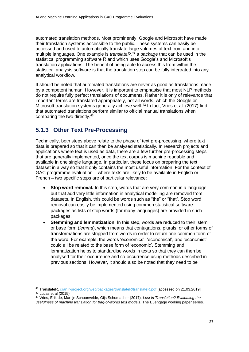automated translation methods. Most prominently, Google and Microsoft have made their translation systems accessible to the public. These systems can easily be accessed and used to automatically translate large volumes of text from and into multiple languages. One example is *translateR, <sup>41</sup>* a package that can be used in the statistical programming software R and which uses Google's and Microsoft's translation applications. The benefit of being able to access this from within the statistical analysis software is that the translation step can be fully integrated into any analytical workflow.

It should be noted that automated translations are never as good as translations made by a competent human. However, it is important to emphasise that most NLP methods do not require fully perfect translations of documents. Rather it is only of relevance that important terms are translated appropriately, not all words, which the Google or Microsoft translation systems generally achieve well.<sup>42</sup> In fact, Vries et al. (2017) find that automated translations perform similar to official manual translations when comparing the two directly.<sup>43</sup>

#### <span id="page-33-0"></span>**5.1.3 Other Text Pre-Processing**

-

Technically, both steps above relate to the phase of text pre-processing, where text data is prepared so that it can then be analysed statistically. In research projects and applications where text is used as data, there are a few further pre-processing steps that are generally implemented, once the text corpus is machine readable and available in one single language. In particular, these focus on preparing the text dataset in a way so that it only contains the most useful information. For the context of GAC programme evaluation – where texts are likely to be available in English or French – two specific steps are of particular relevance:

- **Stop word removal.** In this step, words that are very common in a language but that add very little information in analytical modelling are removed from datasets. In English, this could be words such as "the" or "that". Stop word removal can easily be implemented using common statistical software packages as lists of stop words (for many languages) are provided in such packages.
- **Stemming and lemmatization.** In this step, words are reduced to their 'stem' or base form (*lemma*), which means that conjugations, plurals, or other forms of transformations are stripped from words in order to return one common form of the word. For example, the words 'economics', 'economical', and 'economist' could all be related to the base form of 'economic'. Stemming and lemmatization helps to standardise words in texts so that they can then be analysed for their occurrence and co-occurrence using methods described in previous sections. However, it should also be noted that they need to be

<sup>41</sup> TranslateR, [cran.r-project.org/web/packages/translateR/translateR.pdf](https://cran.r-project.org/web/packages/translateR/translateR.pdf) [accessed on 21.03.2019].  $42$  Lucas et al  $(2015)$ 

<sup>43</sup> Vries, Erik de, Martijn Schoonvelde, Gijs Schumacher (2017), *Lost in Translation? Evaluating the usefulness of machine translation for bag-of-words text models*, The Euengage working paper series.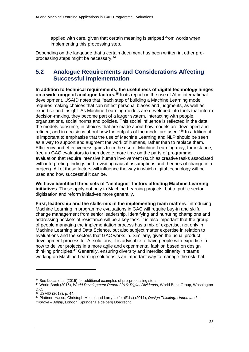applied with care, given that certain meaning is stripped from words when implementing this processing step.

Depending on the language that a certain document has been written in, other preprocessing steps might be necessary.<sup>44</sup>

#### <span id="page-34-0"></span>**5.2 Analogue Requirements and Considerations Affecting Successful Implementation**

**In addition to technical requirements, the usefulness of digital technology hinges on a wide range of analogue factors.<sup>45</sup>** In its report on the use of AI in international development, USAID notes that **"**each step of building a Machine Learning model requires making choices that can reflect personal biases and judgments, as well as expertise and insight. As Machine Learning models are developed into tools that inform decision-making, they become part of a larger system, interacting with people, organizations, social norms and policies. This social influence is reflected in the data the models consume, in choices that are made about how models are developed and refined, and in decisions about how the outputs of the model are used."<sup>46</sup> In addition, it is important to emphasise that the use of Machine Learning and NLP should be seen as a way to support and augment the work of humans, rather than to replace them. Efficiency and effectiveness gains from the use of Machine Learning may, for instance, free up GAC evaluators to then devote more time on the parts of programme evaluation that require intensive human involvement (such as creative tasks associated with interpreting findings and revisiting causal assumptions and theories of change in a project). All of these factors will influence the way in which digital technology will be used and how successful it can be.

**We have identified three sets of "analogue" factors affecting Machine Learning initiatives**. These apply not only to Machine Learning projects, but to public sector digitisation and reform initiatives more generally.

**First, leadership and the skills-mix in the implementing team matters**. Introducing Machine Learning in programme evaluations in GAC will require buy-in and skilful change management from senior leadership. Identifying and nurturing champions and addressing pockets of resistance will be a key task. It is also important that the group of people managing the implementation process has a mix of expertise, not only in Machine Learning and Data Science, but also subject matter expertise in relation to evaluations and the sectors that GAC works in. Similarly, given the usual product development process for AI solutions, it is advisable to have people with expertise in how to deliver projects in a more agile and experimental fashion based on design thinking principles.<sup>47</sup> Generally, ensuring diversity and interdisciplinarity in teams working on Machine Learning solutions is an important way to manage the risk that

<sup>44</sup> See Lucas et al (2015) for additional examples of pre-processing steps.

<sup>45</sup> World Bank (2016), *World Development Report 2016: Digital Dividends*, World Bank Group, Washington D.C.

<sup>46</sup> USAID (2018), p. 44.

<sup>47</sup> Plattner, Hasso, Christoph Meinel and Larry Leifer (Eds.) (2011), *Design Thinking. Understand – Improve – Apply*, London: Springer Heidelberg Dordrecht.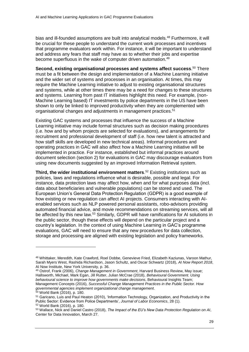bias and ill-founded assumptions are built into analytical models.<sup>48</sup> Furthermore, it will be crucial for these people to understand the current work processes and incentives that programme evaluators work within. For instance, it will be important to understand and address any fears that staff may have as to whether their jobs and expertise become superfluous in the wake of computer driven automation.<sup>49</sup>

**Second, existing organisational processes and systems affect success**. <sup>50</sup> There must be a fit between the design and implementation of a Machine Learning initiative and the wider set of systems and processes in an organisation. At times, this may require the Machine Learning initiative to adjust to existing organisational structures and systems, while at other times there may be a need for changes to these structures and systems. Learning from past IT initiatives highlight this need. For example, (non-Machine Learning based) IT investments by police departments in the US have been shown to only be linked to improved productivity when they are complemented with organisational changes and adjustments in management practices.<sup>51</sup>

Existing GAC systems and processes that influence the success of a Machine Learning initiative may include formal structures such as decision making procedures (i.e. how and by whom projects are selected for evaluations), and arrangements for recruitment and professional development of staff (i.e. how new talent is attracted and how staff skills are developed in new technical areas). Informal procedures and operating practices in GAC will also affect how a Machine Learning initiative will be implemented in practice. For instance, established but informal practices around document selection (section [2\)](#page-9-0) for evaluations in GAC may discourage evaluators from using new documents suggested by an improved Information Retrieval system.

**Third, the wider institutional environment matters**. <sup>52</sup> Existing institutions such as policies, laws and regulations influence what is desirable, possible and legal. For instance, data protection laws may affect how, when and for what purposes data (incl. data about beneficiaries and vulnerable populations) can be stored and used. The European Union's General Data Protection Regulation (GDPR) is a good example of how existing or new regulation can affect AI projects. Consumers interacting with AIenabled services such as NLP powered personal assistants, robo-advisors providing automated financial advice, and movie recommendations on streaming services, will all be affected by this new law.<sup>53</sup> Similarly, GDPR will have ramifications for AI solutions in the public sector, though these effects will depend on the particular project and a country's legislation. In the context of using Machine Learning in GAC's programme evaluations, GAC will need to ensure that any new procedures for data collection, storage and processing are aligned with existing legislation and policy frameworks.

<sup>49</sup> Ostrof, Frank (2006), *Change Management in Government*, Harvard Business Review, May issue; Hallsworth, Michael, Mark Egan, Jill Rutter, Julian McCrae (2018), *Behavioural Government. Using behavioural science to improve how governments make decisions*, Behavioural Insights Team; Management Concepts (2016), *Successful Change Management Practices in the Public Sector. How governmental agencies implement organizational change management*.

<sup>48</sup> Whittaker, Meredith, Kate Crawford, Roel Dobbe, Genevieve Fried, Elizabeth Kaziunas, Varoon Mathur, Sarah Myers West, Rashida Richardson, Jason Schultz, and Oscar Schwartz (2018), *AI Now Report 2018*, AI Now Institute, New York University, p. 36.

<sup>50</sup> World Bank (2016), p. 180.

<sup>51</sup> Garicano, Luis and Paul Heaton (2010), 'Information Technology, Organization, and Productivity in the Public Sector: Evidence from Police Departments', *Journal of Labor Economics*, 28 (1). <sup>52</sup> World Bank (2016), p. 180.

<sup>53</sup> Wallace, Nick and Daniel Castro (2018), *The Impact of the EU's New Data Protection Regulation on AI*, Center for Data Innovation, March 27.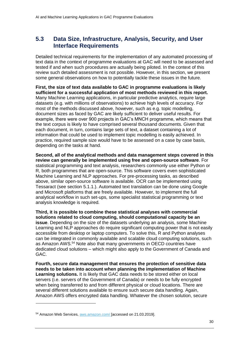#### <span id="page-36-0"></span>**5.3 Data Size, Infrastructure, Analysis, Security, and User Interface Requirements**

Detailed technical requirements for the implementation of any automated processing of text data in the context of programme evaluations at GAC will need to be assessed and tested if and when such procedures are actually being piloted. In the context of this review such detailed assessment is not possible. However, in this section, we present some general observations on how to potentially tackle these issues in the future.

**First, the size of text data available to GAC in programme evaluations is likely sufficient for a successful application of most methods reviewed in this report.** Many Machine Learning applications, in particular predictive analytics, require large datasets (e.g. with millions of observations) to achieve high levels of accuracy. For most of the methods discussed above, however, such as e.g. topic modelling, document sizes as faced by GAC are likely sufficient to deliver useful results. For example, there were over 900 projects in GAC's MNCH programme, which means that the text corpus is likely to have comprised several thousand documents. Given that each document, in turn, contains large sets of text, a dataset containing a lot of information that could be used to implement topic modelling is easily achieved. In practice, required sample size would have to be assessed on a case by case basis, depending on the tasks at hand.

**Second, all of the analytical methods and data management steps covered in this review can generally be implemented using free and open-source software**. For statistical programming and text analysis, researchers commonly use either Python or R, both programmes that are open-source. This software covers even sophisticated Machine Learning and NLP approaches. For pre-processing tasks, as described above, similar open-source software is available. OCR can be implemented using Tessaract (see section [5.1.1.](#page-31-2)). Automated text translation can be done using Google and Microsoft platforms that are freely available. However, to implement the full analytical workflow in such set-ups, some specialist statistical programming or text analysis knowledge is required.

**Third, it is possible to combine these statistical analyses with commercial solutions related to cloud computing, should computational capacity be an issue**. Depending on the size of the datasets underlying an analysis, some Machine Learning and NLP approaches do require significant computing power that is not easily accessible from desktop or laptop computers. To solve this, R and Python analyses can be integrated in commonly available and scalable cloud computing solutions, such as Amazon AWS.<sup>54</sup> Note also that many governments in OECD countries have dedicated cloud solutions – which might also apply to the Government of Canada and GAC.

**Fourth, secure data management that ensures the protection of sensitive data needs to be taken into account when planning the implementation of Machine Learning solutions.** It is likely that GAC data needs to be stored either on local servers (i.e. servers of the Government of Canada) or needs to be fully encrypted when being transferred to and from different physical or cloud locations. There are several different solutions available to ensure such secure data handling. Again, Amazon AWS offers encrypted data handling. Whatever the chosen solution, secure

<sup>54</sup> Amazon Web Services, [aws.amazon.com/](https://aws.amazon.com/) [accessed on 21.03.2019].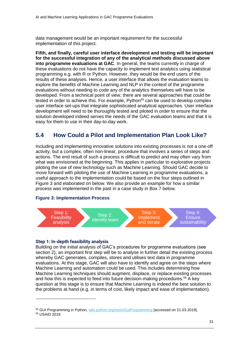data management would be an important requirement for the successful implementation of this project.

**Fifth, and finally, careful user interface development and testing will be important for the successful integration of any of the analytical methods discussed above into programme evaluations at GAC**. In general, the teams currently in charge of these evaluations do not have the capacity to implement text analytics using statistical programming e.g. with R or Python. However, they would be the end users of the results of these analyses. Hence, a user interface that allows the evaluation teams to explore the benefits of Machine Learning and NLP in the context of the programme evaluations without needing to code any of the analytics themselves will have to be developed. From a technical point of view, there are several approaches that could be tested in order to achieve this. For example, Python<sup>55</sup> can be used to develop complex user interface set-ups that integrate sophisticated analytical approaches. User interface development will need to be thoroughly tested and piloted in order to ensure that the solution developed indeed serves the needs of the GAC evaluation teams and that it is easy for them to use in their day-to-day work.

#### <span id="page-37-0"></span>**5.4 How Could a Pilot and Implementation Plan Look Like?**

Including and implementing innovative solutions into existing processes is not a one-off activity, but a complex, often non-linear, procedure that involves a series of steps and actions. The end result of such a process is difficult to predict and may often vary from what was envisioned at the beginning. This applies in particular to explorative projects piloting the use of new technology such as Machine Learning. Should GAC decide to move forward with piloting the use of Machine Learning in programme evaluations, a useful approach to the implementation could be based on the four steps outlined in [Figure 3](#page-37-1) and elaborated on below. We also provide an example for how a similar process was implemented in the past in a case study in Box 7 below.

#### <span id="page-37-1"></span>**Figure 3: Implementation Process**



#### **Step 1: In-depth feasibility analysis**

-

Building on the initial analysis of GAC's procedures for programme evaluations (see section [2\)](#page-9-0), an important first step will be to analyse in further detail the existing process whereby GAC generates, compiles, stores and utilises text data in programme evaluations. At this stage, GAC will also have to identify and agree on the steps where Machine Learning and automation could be used. This includes determining how Machine Learning techniques should augment, displace, or replace existing processes and how this is expected to feed into future decision-making procedures.<sup>56</sup> A key question at this stage is to ensure that Machine Learning is indeed the best solution to the problems at hand (e.g. in terms of cost, likely impact and ease of implementation).

<sup>55</sup> GUI Programming in Python, [wiki.python.org/moin/GuiProgramming](https://wiki.python.org/moin/GuiProgramming) [accessed on 21.03.2019]. <sup>56</sup> USAID 2018.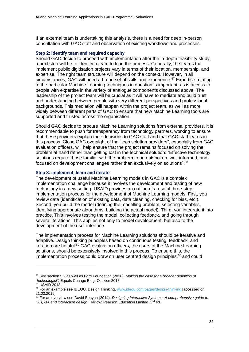If an external team is undertaking this analysis, there is a need for deep in-person consultation with GAC staff and observation of existing workflows and processes.

#### **Step 2: Identify team and required capacity**

Should GAC decide to proceed with implementation after the in-depth feasibility study, a next step will be to identify a team to lead the process. Generally, the teams that implement public digitisation projects vary in terms of their location, membership, and expertise. The right team structure will depend on the context. However, in all circumstances, GAC will need a broad set of skills and experience.<sup>57</sup> Expertise relating to the particular Machine Learning techniques in question is important, as is access to people with expertise in the variety of analogue components discussed above. The leadership of the project team will be crucial as it will have to mediate and build trust and understanding between people with very different perspectives and professional backgrounds. This mediation will happen within the project team, as well as more widely between different parts of GAC to ensure that new Machine Learning tools are supported and trusted across the organisation.

Should GAC decide to procure Machine Learning solutions from external providers, it is recommendable to push for transparency from technology partners, working to ensure that these providers explain their decisions to GAC staff and that GAC staff learns in this process. Close GAC oversight of the "tech solution providers", especially from GAC evaluation officers, will help ensure that the project remains focused on solving the problem at hand rather than getting lost in the technical solution: "Effective technology solutions require those familiar with the problem to be outspoken, well-informed, and focused on development challenges rather than exclusively on solutions".<sup>58</sup>

#### **Step 3: implement, learn and iterate**

The development of useful Machine Learning models in GAC is a complex implementation challenge because it involves the development and testing of new technology in a new setting. USAID provides an outline of a useful three-step implementation process for the development of Machine Learning models: First, you review data (identification of existing data, data cleaning, checking for bias, etc.). Second, you build the model (defining the modelling problem, selecting variables, identifying appropriate algorithms, building the actual model). Third, you integrate it into practice. This involves testing the model, collecting feedback, and going through several iterations. This applies not only to model development, but also to the development of the user interface.

The implementation process for Machine Learning solutions should be iterative and adaptive. Design thinking principles based on continuous testing, feedback, and iteration are helpful.<sup>59</sup> GAC evaluation officers, the users of the Machine Learning solutions, should be extensively involved in this process. To ensure this, the implementation process could draw on user centred design principles, $60$  and could

<sup>57</sup> See section 5.2 as well as Ford Foundation (2018), *Making the case for a broader definition of "technologist",* Equals Change Blog, October 2018.

<sup>58</sup> USAID 2018.

<sup>59</sup> For an example see IDEOU, Design Thinking, [www.ideou.com/pages/design-thinking](https://www.ideou.com/pages/design-thinking) [accessed on 21.03.2019].

<sup>60</sup> For an overview see David Benyon (2014), *Designing Interactive Systems: A comprehensive guide to*  HCI, UX and interaction design, Harlow: Pearson Education Limited, 3<sup>rd</sup> ed.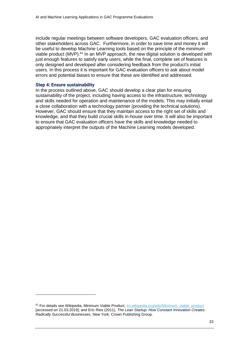include regular meetings between software developers, GAC evaluation officers, and other stakeholders across GAC. Furthermore, in order to save time and money it will be useful to develop Machine Learning tools based on the principle of the minimum viable product (MVP).<sup>61</sup> In an MVP approach, the new digital solution is developed with just enough features to satisfy early users, while the final, complete set of features is only designed and developed after considering feedback from the product's initial users. In this process it is important for GAC evaluation officers to ask about model errors and potential biases to ensure that these are identified and addressed.

#### **Step 4: Ensure sustainability**

-

In the process outlined above, GAC should develop a clear plan for ensuring sustainability of the project, including having access to the infrastructure, technology and skills needed for operation and maintenance of the models. This may initially entail a close collaboration with a technology partner (providing the technical solutions). However, GAC should ensure that they maintain access to the right set of skills and knowledge, and that they build crucial skills in-house over time. It will also be important to ensure that GAC evaluation officers have the skills and knowledge needed to appropriately interpret the outputs of the Machine Learning models developed.

<sup>61</sup> For details see Wikipedia, Minimum Viable Product, [en.wikipedia.org/wiki/Minimum\\_viable\\_product](https://en.wikipedia.org/wiki/Minimum_viable_product) [accessed on 21.03.2019]; and Eric Ries (2011), *The Lean Startup: How Constant Innovation Creates Radically Successful Businesses*, New York: Crown Publishing Group.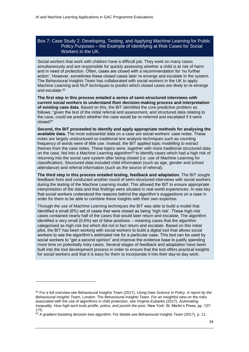#### <span id="page-40-0"></span>Box 7: Case Study 2: Developing, Testing, and Applying Machine Learning for Public Policy Purposes – the Example of Identifying at Risk Cases for Social Workers in the UK.

Social workers that work with children have a difficult job. They work on many cases simultaneously and are responsible for quickly assessing whether a child is at risk of harm and in need of protection. Often, cases are closed with a recommendation for 'no further action'. However, sometimes these closed cases later re-emerge and escalate in the system. The Behavioural Insights Team has collaborated with social workers in the UK to apply Machine Learning and NLP techniques to predict which closed cases are likely to re-emerge and escalate.<sup>62</sup>

**The first step in this process entailed a series of semi-structured interviews with current social workers to understand their decision-making process and interpretation of existing case data**. Based on this, the BIT identified the core predictive problem as follows: "given the text of the initial referral and assessment, and structured data relating to the case, could we predict whether the case would be re-referred and escalated if it were closed?"

**Second, the BIT proceeded to identify and apply appropriate methods for analysing the available data.** The most substantial data on a case are social workers' case notes. These notes are largely unstructured so traditional text analysis techniques such as counting frequency of words were of little use. Instead, the BIT applied topic modelling to extract themes from the case notes. These topics were, together with more traditional structured data on the case, fed into a Machine Learning algorithm<sup>63</sup> to identify cases which had a high risk of returning into the social care system after being closed (i.e. use of Machine Learning for classification). Structured data included child information (such as age, gender and school attendance) and referral information (such as the source of referral).

**The third step in this process entailed testing, feedback and adaptation.** The BIT sought feedback from and conducted another round of semi-structured interviews with social workers during the testing of the Machine Learning model. This allowed the BIT to ensure appropriate interpretation of the data and that findings were situated in real-world experiences. In was key that social workers understood the reasons behind the algorithm's suggestions on a case in order for them to be able to combine these insights with their own expertise.

Through the use of Machine Learning techniques the BIT was able to build a model that identified a small (6%) set of cases that were closed as being 'high risk'. These high-risk cases contained nearly half of the cases that would later return and escalate. The algorithm identified a very small (0.6%) set of false positives – meaning cases that the algorithm categorised as high-risk but which did not in fact return and escalate. Based on this initial pilot, the BIT has been working with social workers to build a digital tool that allows social workers to see the algorithm's estimated risk for a particular case. This tool can be used by social workers to "get a second opinion" and improve the evidence base to justify spending more time on potentially risky cases. Several stages of feedback and adaptation have been built into the tool development process in order to ensure that the tool offers practical insights for social workers and that it is easy for them to incorporate it into their day-to-day work.

<sup>62</sup> For a full overview see Behavioural Insights Team (2017), *Using Data Science in Policy. A report by the Behavioural Insights Team*, London: The Behavioural Insights Team. For an insightful view on the risks associated with the use of algorithms in child protection, see Virginia Eubanks (2017), *Automating Inequality. How high-tech tools profile, police, and punish the poor*, New York: St. Martin's Press, pp. 127- 175.

 $63$  A gradient boosting decision tree algorithm. For details see Behavioural Insights Team (2017), p. 11.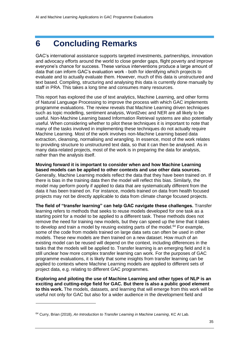## <span id="page-41-0"></span>**6 Concluding Remarks**

GAC's international assistance supports targeted investments, partnerships, innovation and advocacy efforts around the world to close gender gaps, flight poverty and improve everyone's chance for success. These various interventions produce a large amount of data that can inform GAC's evaluation work - both for identifying which projects to evaluate and to actually evaluate them. However, much of this data is unstructured and text based. Compiling, structuring and analysing this data is currently done manually by staff in PRA. This takes a long time and consumes many resources.

This report has explored the use of text analytics, Machine Learning, and other forms of Natural Language Processing to improve the process with which GAC implements programme evaluations. The review reveals that Machine Learning driven techniques such as topic modelling, sentiment analysis, Word2vec and NER are all likely to be useful. Non-Machine Learning based Information Retrieval systems are also potentially useful. When considering whether to pilot these techniques it is important to note that many of the tasks involved in implementing these techniques do not actually require Machine Learning. Most of the work involves non-Machine Learning based data extraction, cleansing, normalising and wrangling. In essence, most of the work relates to providing structure to unstructured text data, so that it can then be analysed. As in many data-related projects, most of the work is in preparing the data for analysis, rather than the analysis itself.

**Moving forward it is important to consider when and how Machine Learning based models can be applied to other contexts and use other data sources.** Generally, Machine Learning models reflect the data that they have been trained on. If there is bias in the training data then the model will reflect this bias. Similarly, the model may perform poorly if applied to data that are systematically different from the data it has been trained on. For instance, models trained on data from health focused projects may not be directly applicable to data from climate change focused projects.

**The field of "transfer learning" can help GAC navigate these challenges.** Transfer learning refers to methods that seeks to reuse models developed for one task as a starting point for a model to be applied to a different task. These methods does not remove the need for training new models, but they can speed up the time that it takes to develop and train a model by reusing existing parts of the model. $64$  For example, some of the code from models trained on large data sets can often be used in other models. These new models are then trained on a new dataset. How much of an existing model can be reused will depend on the context, including differences in the tasks that the models will be applied to. Transfer learning is an emerging field and it is still unclear how more complex transfer learning can work. For the purposes of GAC programme evaluations, it is likely that some insights from transfer learning can be applied to contexts where Machine Learning models are applied to different sets of project data, e.g. relating to different GAC programmes.

**Exploring and piloting the use of Machine Learning and other types of NLP is an exciting and cutting-edge field for GAC. But there is also a public good element to this work.** The models, datasets, and learning that will emerge from this work will be useful not only for GAC but also for a wider audience in the development field and

<sup>64</sup> Curry, Brian (2018), *An Introduction to Transfer Learning in Machine Learning*, KC AI Lab.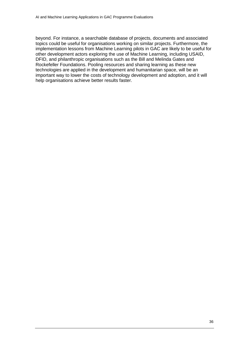beyond. For instance, a searchable database of projects, documents and associated topics could be useful for organisations working on similar projects. Furthermore, the implementation lessons from Machine Learning pilots in GAC are likely to be useful for other development actors exploring the use of Machine Learning, including USAID, DFID, and philanthropic organisations such as the Bill and Melinda Gates and Rockefeller Foundations. Pooling resources and sharing learning as these new technologies are applied in the development and humanitarian space, will be an important way to lower the costs of technology development and adoption, and it will help organisations achieve better results faster.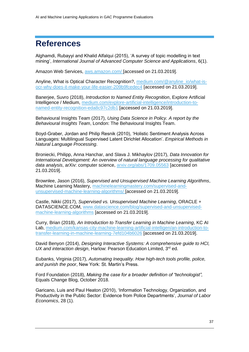## <span id="page-43-0"></span>**References**

Alghamdi, Rubayyi and Khalid Alfalqui (2015), 'A survey of topic modelling in text mining', *International Journal of Advanced Computer Science and Applications*, 6(1).

Amazon Web Services, [aws.amazon.com/](https://aws.amazon.com/) [accessed on 21.03.2019].

Anyline, What is Optical Character Recognition?, [medium.com/@anyline\\_io/what-is](mailto:medium.com/@anyline_io/what-is-ocr-why-does-it-make-your-life-easier-209b9fcedec4)[ocr-why-does-it-make-your-life-easier-209b9fcedec4](mailto:medium.com/@anyline_io/what-is-ocr-why-does-it-make-your-life-easier-209b9fcedec4) [accessed on 21.03.2019].

Banerjee, Suvro (2018), *Introduction to Named Entity Recognition*, Explore Artificial Intelligence / Medium, [medium.com/explore-artificial-intelligence/introduction-to](https://medium.com/explore-artificial-intelligence/introduction-to-named-entity-recognition-eda8c97c2db1)[named-entity-recognition-eda8c97c2db1](https://medium.com/explore-artificial-intelligence/introduction-to-named-entity-recognition-eda8c97c2db1) [accessed on 21.03.2019].

Behavioural Insights Team (2017), *Using Data Science in Policy. A report by the Behavioural Insights Team*, London: The Behavioural Insights Team.

Boyd-Graber, Jordan and Philip Resnik (2010), 'Holistic Sentiment Analysis Across Languages: Multilingual Supervised Latent Dirichlet Allocation'. *Empirical Methods in Natural Language Processing*.

Broniecki, Philipp, Anna Hanchar, and Slava J. Mikhaylov (2017), *Data Innovation for International Development: An overview of natural language processing for qualitative data analysis*, arXiv: computer science, [arxiv.org/abs/1709.05563](https://arxiv.org/abs/1709.05563) [accessed on 21.03.2019].

Brownlee, Jason (2016), *Supervised and Unsupervised Machine Learning Algorithms*, Machine Learning Mastery, [machinelearningmastery.com/supervised-and](https://machinelearningmastery.com/supervised-and-unsupervised-machine-learning-algorithms/)[unsupervised-machine-learning-algorithms/](https://machinelearningmastery.com/supervised-and-unsupervised-machine-learning-algorithms/) [accessed on 21.03.2019].

Castle, Nikki (2017), *Supervised vs. Unsupervised Machine Learning*, ORACLE + DATASCIENCE.COM, [www.datascience.com/blog/supervised-and-unsupervised](http://www.datascience.com/blog/supervised-and-unsupervised-machine-learning-algorithms)[machine-learning-algorithms](http://www.datascience.com/blog/supervised-and-unsupervised-machine-learning-algorithms) [accessed on 21.03.2019].

Curry, Brian (2018), *An Introduction to Transfer Learning in Machine Learning*, KC AI Lab, [medium.com/kansas-city-machine-learning-artificial-intelligen/an-introduction-to](https://medium.com/kansas-city-machine-learning-artificial-intelligen/an-introduction-to-transfer-learning-in-machine-learning-7efd104b6026)[transfer-learning-in-machine-learning-7efd104b6026](https://medium.com/kansas-city-machine-learning-artificial-intelligen/an-introduction-to-transfer-learning-in-machine-learning-7efd104b6026) [accessed on 21.03.2019].

David Benyon (2014), *Designing Interactive Systems: A comprehensive guide to HCI,*  UX and interaction design, Harlow: Pearson Education Limited, 3<sup>rd</sup> ed.

Eubanks, Virginia (2017), *Automating Inequality. How high-tech tools profile, police, and punish the poor*, New York: St. Martin's Press.

Ford Foundation (2018), *Making the case for a broader definition of "technologist",* Equals Change Blog, October 2018.

Garicano, Luis and Paul Heaton (2010), 'Information Technology, Organization, and Productivity in the Public Sector: Evidence from Police Departments', *Journal of Labor Economics*, 28 (1).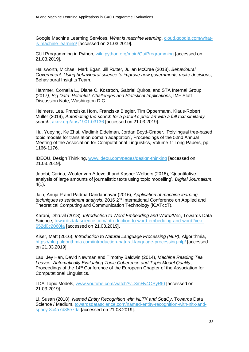Google Machine Learning Services, *What is machine learning*, [cloud.google.com/what](https://cloud.google.com/what-is-machine-learning/)[is-machine-learning/](https://cloud.google.com/what-is-machine-learning/) [accessed on 21.03.2019].

GUI Programming in Python, [wiki.python.org/moin/GuiProgramming](https://wiki.python.org/moin/GuiProgramming) [accessed on 21.03.2019].

Hallsworth, Michael, Mark Egan, Jill Rutter, Julian McCrae (2018), *Behavioural Government. Using behavioural science to improve how governments make decisions*, Behavioural Insights Team.

Hammer, Cornelia L., Diane C. Kostroch, Gabriel Quiros, and STA Internal Group (2017*), Big Data: Potential, Challenges and Statistical Implications*, IMF Staff Discussion Note, Washington D.C.

Helmers, Lea, Franziska Horn, Franziska Biegler, Tim Oppermann, Klaus-Robert Muller (2019), *Automating the search for a patent's prior art with a full text similarity search*, [arxiv.org/abs/1901.03136](https://arxiv.org/abs/1901.03136) [accessed on 21.03.2019].

Hu, Yueying, Ke Zhai, Vladimir Eidelman, Jordan Boyd-Graber, 'Polylingual tree-based topic models for translation domain adaptation', Proceedings of the 52nd Annual Meeting of the Association for Computational Linguistics, Volume 1: Long Papers, pp. 1166-1176.

IDEOU, Design Thinking, [www.ideou.com/pages/design-thinking](https://www.ideou.com/pages/design-thinking) [accessed on 21.03.2019].

Jacobi, Carina, Wouter van Atteveldt and Kasper Welbers (2016), 'Quantitative analysis of large amounts of journalistic texts using topic modelling', *Digital Journalism*, 4(1).

Jain, Anuja P and Padma Dandannavar (2016), *Application of machine learning techniques to sentiment analysis*, 2016 2nd International Conference on Applied and Theoretical Computing and Communication Technology (iCATccT).

Karani, Dhruvil (2018), *Introduction to Word Embedding and Word2Vec*, Towards Data Science, [towardsdatascience.com/introduction-to-word-embedding-and-word2vec-](https://towardsdatascience.com/introduction-to-word-embedding-and-word2vec-652d0c2060fa)[652d0c2060fa](https://towardsdatascience.com/introduction-to-word-embedding-and-word2vec-652d0c2060fa) [accessed on 21.03.2019].

Kiser, Matt (2016), *Introduction to Natural Language Processing (NLP)*, Algorithmia, <https://blog.algorithmia.com/introduction-natural-language-processing-nlp/> [accessed on 21.03.2019].

Lau, Jey Han, David Newman and Timothy Baldwin (2014), *Machine Reading Tea Leaves: Automatically Evaluating Topic Coherence and Topic Model Quality*, Proceedings of the 14<sup>th</sup> Conference of the European Chapter of the Association for Computational Linguistics.

LDA Topic Models, [www.youtube.com/watch?v=3mHy4OSyRf0](https://www.youtube.com/watch?v=3mHy4OSyRf0) [accessed on 21.03.2019].

Li, Susan (2018), *Named Entity Recognition with NLTK and SpaCy*, Towards Data Science / Medium, [towardsdatascience.com/named-entity-recognition-with-nltk-and](https://towardsdatascience.com/named-entity-recognition-with-nltk-and-spacy-8c4a7d88e7da)[spacy-8c4a7d88e7da](https://towardsdatascience.com/named-entity-recognition-with-nltk-and-spacy-8c4a7d88e7da) [accessed on 21.03.2019].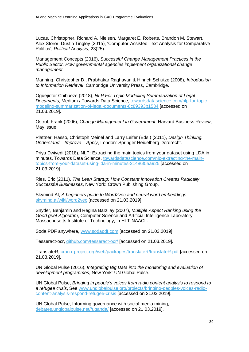Lucas, Christopher, Richard A. Nielsen, Margaret E. Roberts, Brandon M. Stewart, Alex Storer, Dustin Tingley (2015), 'Computer-Assisted Text Analysis for Comparative Politics', *Political Analysis*, 23(25).

Management Concepts (2016), *Successful Change Management Practices in the Public Sector. How governmental agencies implement organizational change management*.

Manning, Christopher D., Prabhakar Raghavan & Hinrich Schutze (2008), *Introduction to Information Retrieval*, Cambridge University Press, Cambridge.

Oguejiofor Chibueze (2018), *NLP For Topic Modelling Summarization of Legal Documents*, Medium / Towards Data Science, [towardsdatascience.com/nlp-for-topic](https://towardsdatascience.com/nlp-for-topic-modeling-summarization-of-legal-documents-8c89393b1534)[modeling-summarization-of-legal-documents-8c89393b1534](https://towardsdatascience.com/nlp-for-topic-modeling-summarization-of-legal-documents-8c89393b1534) [accessed on 21.03.2019].

Ostrof, Frank (2006), *Change Management in Government*, Harvard Business Review, May issue

Plattner, Hasso, Christoph Meinel and Larry Leifer (Eds.) (2011), *Design Thinking. Understand – Improve – Apply*, London: Springer Heidelberg Dordrecht.

Priya Dwivedi (2018), NLP: Extracting the main topics from your dataset using LDA in minutes, Towards Data Science, [towardsdatascience.com/nlp-extracting-the-main](https://towardsdatascience.com/nlp-extracting-the-main-topics-from-your-dataset-using-lda-in-minutes-21486f5aa925)[topics-from-your-dataset-using-lda-in-minutes-21486f5aa925](https://towardsdatascience.com/nlp-extracting-the-main-topics-from-your-dataset-using-lda-in-minutes-21486f5aa925) [accessed on 21.03.2019].

Ries, Eric (2011), *The Lean Startup: How Constant Innovation Creates Radically Successful Businesses*, New York: Crown Publishing Group.

Skymind AI, *A beginners guide to Word2vec and neural word embeddings*, [skymind.ai/wiki/word2vec](https://skymind.ai/wiki/word2vec) [accessed on 21.03.2019].

Snyder, Benjamin and Regina Barzilay (2007), *Multiple Aspect Ranking using the Good grief Algorithm*, Computer Science and Artificial Intelligence Laboratory, Massachusetts Institute of Technology, in HLT-NAACL.

Soda PDF anywhere, [www.sodapdf.com](https://www.sodapdf.com/) [accessed on 21.03.2019].

Tesseract-ocr, [github.com/tesseract-ocr/](https://github.com/tesseract-ocr/) [accessed on 21.03.2019].

TranslateR, [cran.r-project.org/web/packages/translateR/translateR.pdf](https://cran.r-project.org/web/packages/translateR/translateR.pdf) [accessed on 21.03.2019].

UN Global Pulse (2016), *Integrating Big Data into the monitoring and evaluation of development programmes*, New York: UN Global Pulse.

UN Global Pulse, *Bringing in people's voices from radio content analysis to respond to a refugee crisis*, See [www.unglobalpulse.org/projects/bringing-peoples-voices-radio](http://www.unglobalpulse.org/projects/bringing-peoples-voices-radio-content-analysis-respond-refugee-crisis)[content-analysis-respond-refugee-crisis](http://www.unglobalpulse.org/projects/bringing-peoples-voices-radio-content-analysis-respond-refugee-crisis) [accessed on 21.03.2019].

UN Global Pulse, Informing governance with social media mining, [debates.unglobalpulse.net//uganda/](https://debates.unglobalpulse.net/uganda/) [accessed on 21.03.2019].